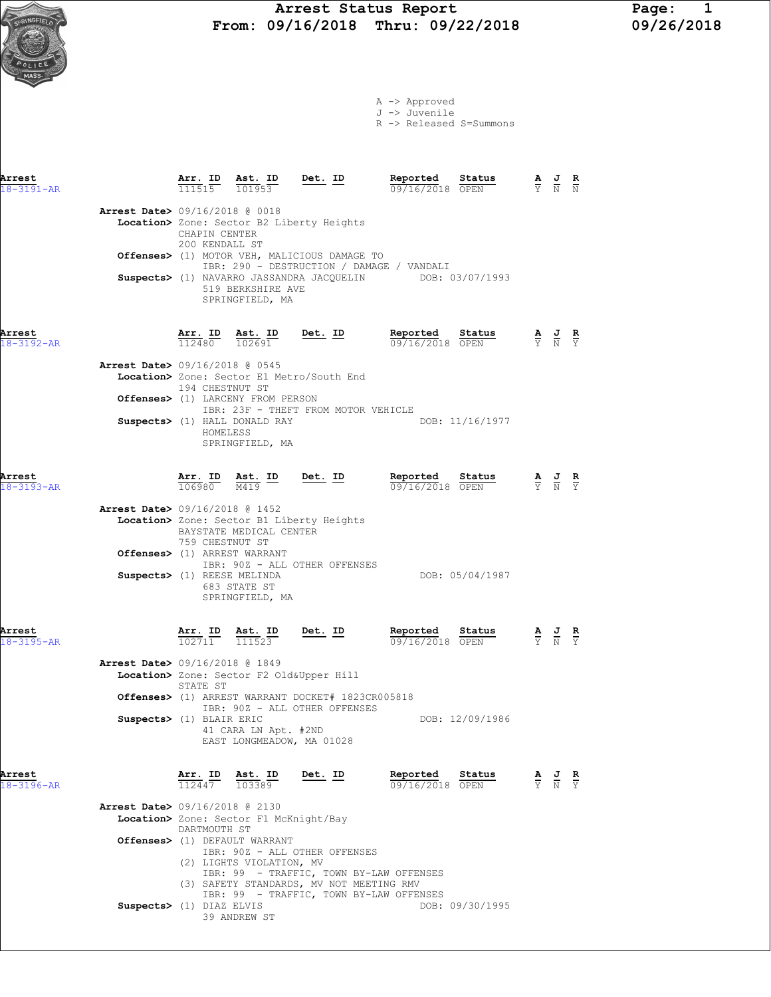A -> Approved J -> Juvenile

R -> Released S=Summons

| Arrest<br>$18 - 3191 - AR$ |                                                                |                                 |                                                                                                 | $\frac{\texttt{Arr.}}{111515}$ $\frac{\texttt{ Ast.}}{101953}$ $\frac{\texttt{Det.}}{201953}$                                                                   | Reported Status<br>09/16/2018 OPEN                                                                     |                 | $\frac{\mathbf{A}}{\mathbf{Y}}$ $\frac{\mathbf{J}}{\mathbf{N}}$ $\frac{\mathbf{R}}{\mathbf{N}}$       |  |
|----------------------------|----------------------------------------------------------------|---------------------------------|-------------------------------------------------------------------------------------------------|-----------------------------------------------------------------------------------------------------------------------------------------------------------------|--------------------------------------------------------------------------------------------------------|-----------------|-------------------------------------------------------------------------------------------------------|--|
|                            | <b>Arrest Date&gt;</b> 09/16/2018 @ 0018                       | CHAPIN CENTER<br>200 KENDALL ST |                                                                                                 | Location> Zone: Sector B2 Liberty Heights<br>Offenses> (1) MOTOR VEH, MALICIOUS DAMAGE TO                                                                       | IBR: 290 - DESTRUCTION / DAMAGE / VANDALI<br>Suspects> (1) NAVARRO JASSANDRA JACQUELIN DOB: 03/07/1993 |                 |                                                                                                       |  |
|                            |                                                                |                                 | 519 BERKSHIRE AVE<br>SPRINGFIELD, MA                                                            |                                                                                                                                                                 |                                                                                                        |                 |                                                                                                       |  |
| Arrest<br>18-3192-AR       |                                                                |                                 | $\frac{\texttt{Arr.}}{112480}$ $\frac{\texttt{ Ast.}}{102691}$                                  | $Det. ID$                                                                                                                                                       | Reported Status<br><b>Reported</b> Status $\frac{A}{Y}$ J R<br>$\frac{D}{N}$ $\frac{5}{Y}$             |                 |                                                                                                       |  |
|                            | <b>Arrest Date&gt;</b> 09/16/2018 @ 0545                       | 194 CHESTNUT ST                 |                                                                                                 | Location> Zone: Sector E1 Metro/South End                                                                                                                       |                                                                                                        |                 |                                                                                                       |  |
|                            |                                                                | HOMELESS                        | <b>Offenses&gt;</b> (1) LARCENY FROM PERSON<br>Suspects> (1) HALL DONALD RAY<br>SPRINGFIELD, MA | IBR: 23F - THEFT FROM MOTOR VEHICLE                                                                                                                             |                                                                                                        | DOB: 11/16/1977 |                                                                                                       |  |
| Arrest<br>$18 - 3193 - AR$ |                                                                |                                 |                                                                                                 | $\frac{\texttt{Arr. ID}}{106980}$ $\frac{\texttt{ Ast. ID}}{M419}$ $\frac{\texttt{Det. ID}}{M419}$                                                              | Reported Status<br>09/16/2018 OPEN<br>$\frac{1}{09/16/2018}$ $\frac{\text{values}}{\text{OPEN}}$       |                 | $\frac{\mathbf{A}}{\mathbf{Y}}$ $\frac{\mathbf{J}}{\mathbf{N}}$ $\frac{\mathbf{R}}{\mathbf{Y}}$       |  |
|                            | Arrest Date> 09/16/2018 @ 1452<br>Offenses> (1) ARREST WARRANT | 759 CHESTNUT ST                 | BAYSTATE MEDICAL CENTER                                                                         | Location> Zone: Sector B1 Liberty Heights                                                                                                                       |                                                                                                        |                 |                                                                                                       |  |
|                            | Suspects> (1) REESE MELINDA                                    |                                 | 683 STATE ST<br>SPRINGFIELD, MA                                                                 | IBR: 90Z - ALL OTHER OFFENSES                                                                                                                                   |                                                                                                        | DOB: 05/04/1987 |                                                                                                       |  |
| Arrest<br>$18 - 3195 - AR$ |                                                                |                                 |                                                                                                 | $\frac{\texttt{Arr. ID}}{102711}$ $\frac{\texttt{Ast. ID}}{111523}$ Det. ID                                                                                     | Reported Status<br>09/16/2018 OPEN                                                                     |                 | $\frac{\mathbf{A}}{\overline{Y}}$ $\frac{\mathbf{J}}{\overline{N}}$ $\frac{\mathbf{R}}{\overline{Y}}$ |  |
|                            | Arrest Date> 09/16/2018 @ 1849                                 | STATE ST                        |                                                                                                 | Location> Zone: Sector F2 Old&Upper Hill<br>Offenses> (1) ARREST WARRANT DOCKET# 1823CR005818                                                                   |                                                                                                        |                 |                                                                                                       |  |
|                            | Suspects> (1) BLAIR ERIC                                       |                                 | 41 CARA LN Apt. #2ND<br>EAST LONGMEADOW, MA 01028                                               | IBR: 90Z - ALL OTHER OFFENSES                                                                                                                                   |                                                                                                        | DOB: 12/09/1986 |                                                                                                       |  |
| Arrest<br>$18 - 3196 - AR$ |                                                                | Ar <u>r. ID</u><br>112447       | Ast. ID<br>103389                                                                               | $Det. ID$                                                                                                                                                       | Reported<br>09/16/2018 OPEN                                                                            | Status          | $\frac{\mathbf{A}}{\mathbf{Y}}$ $\frac{\mathbf{J}}{\mathbf{N}}$ $\frac{\mathbf{R}}{\mathbf{Y}}$       |  |
|                            | <b>Arrest Date&gt;</b> 09/16/2018 @ 2130                       | DARTMOUTH ST                    | Location> Zone: Sector F1 McKnight/Bay                                                          |                                                                                                                                                                 |                                                                                                        |                 |                                                                                                       |  |
|                            |                                                                |                                 | Offenses> (1) DEFAULT WARRANT<br>(2) LIGHTS VIOLATION, MV                                       | IBR: 90Z - ALL OTHER OFFENSES<br>IBR: 99 - TRAFFIC, TOWN BY-LAW OFFENSES<br>(3) SAFETY STANDARDS, MV NOT MEETING RMV<br>IBR: 99 - TRAFFIC, TOWN BY-LAW OFFENSES |                                                                                                        |                 |                                                                                                       |  |
|                            | Suspects> (1) DIAZ ELVIS                                       |                                 |                                                                                                 |                                                                                                                                                                 |                                                                                                        | DOB: 09/30/1995 |                                                                                                       |  |

39 ANDREW ST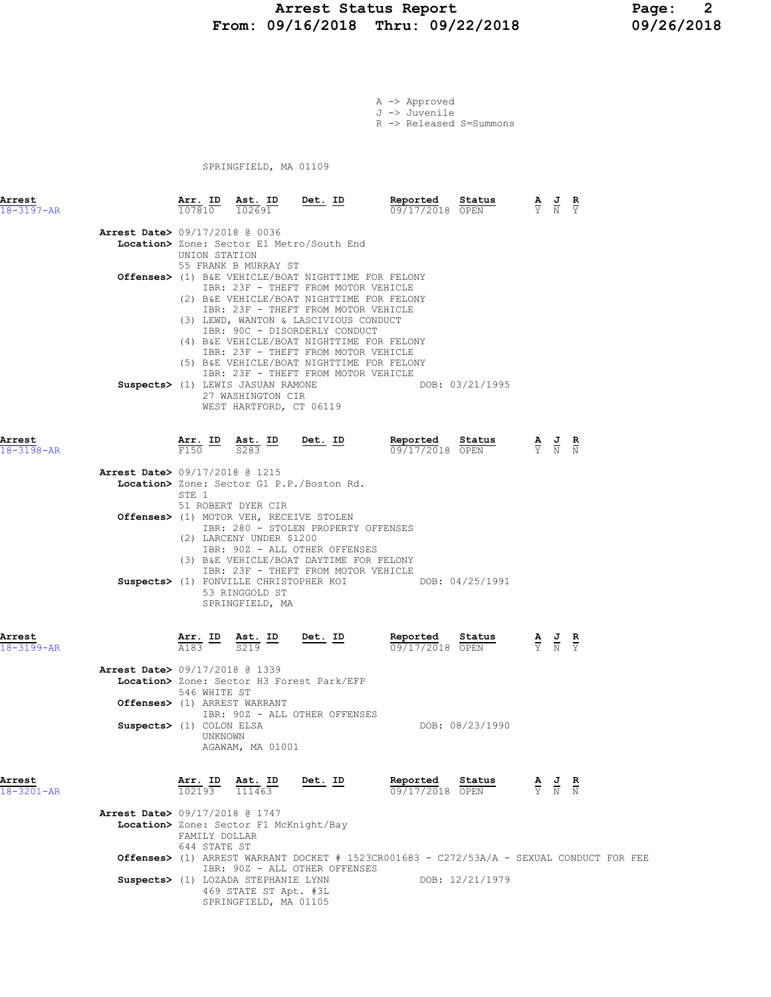#### Arrest Status Report 1991 - Page: 2<br>19/16/2018 Thru: 09/22/2018 199/26/2018 From: 09/16/2018 Thru: 09/22/2018

A -> Approved J -> Juvenile R -> Released S=Summons

SPRINGFIELD, MA 01109

| Arrest<br>$18 - 3197 - AR$               | $\frac{\texttt{Arr. ID}}{107810}$                                      | $\frac{\texttt{Ast. ID}}{102691}$ Det. ID<br>102691                               |                                                                                                                                                                                                                                                                                                                                                                                                                                                  | Reported<br>Status<br>09/17/2018 OPEN                                                              |                                                                                                 | $\frac{\mathbf{A}}{\mathbf{Y}}$ $\frac{\mathbf{J}}{\mathbf{N}}$ $\frac{\mathbf{R}}{\mathbf{Y}}$ |  |
|------------------------------------------|------------------------------------------------------------------------|-----------------------------------------------------------------------------------|--------------------------------------------------------------------------------------------------------------------------------------------------------------------------------------------------------------------------------------------------------------------------------------------------------------------------------------------------------------------------------------------------------------------------------------------------|----------------------------------------------------------------------------------------------------|-------------------------------------------------------------------------------------------------|-------------------------------------------------------------------------------------------------|--|
| <b>Arrest Date&gt; 09/17/2018 @ 0036</b> | UNION STATION                                                          | 55 FRANK B MURRAY ST                                                              | Location> Zone: Sector E1 Metro/South End<br><b>Offenses&gt;</b> (1) B&E VEHICLE/BOAT NIGHTTIME FOR FELONY<br>IBR: 23F - THEFT FROM MOTOR VEHICLE<br>(2) B&E VEHICLE/BOAT NIGHTTIME FOR FELONY<br>IBR: 23F - THEFT FROM MOTOR VEHICLE<br>(3) LEWD, WANTON & LASCIVIOUS CONDUCT<br>IBR: 90C - DISORDERLY CONDUCT<br>(4) B&E VEHICLE/BOAT NIGHTTIME FOR FELONY<br>IBR: 23F - THEFT FROM MOTOR VEHICLE<br>(5) B&E VEHICLE/BOAT NIGHTTIME FOR FELONY |                                                                                                    |                                                                                                 |                                                                                                 |  |
|                                          |                                                                        | Suspects> (1) LEWIS JASUAN RAMONE<br>27 WASHINGTON CIR<br>WEST HARTFORD, CT 06119 | IBR: 23F - THEFT FROM MOTOR VEHICLE                                                                                                                                                                                                                                                                                                                                                                                                              | DOB: 03/21/1995                                                                                    |                                                                                                 |                                                                                                 |  |
| Arrest<br>$18 - 3198 - AR$               |                                                                        | $\frac{\text{Arr.}}{\text{F150}}$ ID $\frac{\text{Ast.}}{\text{S283}}$ ID Det. ID |                                                                                                                                                                                                                                                                                                                                                                                                                                                  | Reported<br>Status<br>09/17/2018 OPEN                                                              | $\frac{\mathbf{A}}{\mathbf{Y}}$ $\frac{\mathbf{J}}{\mathbf{N}}$ $\frac{\mathbf{R}}{\mathbf{N}}$ |                                                                                                 |  |
| <b>Arrest Date&gt; 09/17/2018 @ 1215</b> |                                                                        |                                                                                   |                                                                                                                                                                                                                                                                                                                                                                                                                                                  |                                                                                                    |                                                                                                 |                                                                                                 |  |
|                                          | STE 1                                                                  |                                                                                   | Location> Zone: Sector G1 P.P./Boston Rd.                                                                                                                                                                                                                                                                                                                                                                                                        |                                                                                                    |                                                                                                 |                                                                                                 |  |
|                                          |                                                                        | 51 ROBERT DYER CIR<br>Offenses> (1) MOTOR VEH, RECEIVE STOLEN                     | IBR: 280 - STOLEN PROPERTY OFFENSES                                                                                                                                                                                                                                                                                                                                                                                                              |                                                                                                    |                                                                                                 |                                                                                                 |  |
|                                          |                                                                        | (2) LARCENY UNDER \$1200<br>53 RINGGOLD ST<br>SPRINGFIELD, MA                     | IBR: 90Z - ALL OTHER OFFENSES<br>(3) B&E VEHICLE/BOAT DAYTIME FOR FELONY<br>IBR: 23F - THEFT FROM MOTOR VEHICLE                                                                                                                                                                                                                                                                                                                                  | Suspects> (1) FONVILLE CHRISTOPHER KOI DOB: 04/25/1991                                             |                                                                                                 |                                                                                                 |  |
| Arrest<br>18-3199-AR                     | $\frac{\text{Arr.}}{\text{A183}}$ ID $\frac{\text{Ast.}}{\text{S219}}$ |                                                                                   | <u>Det.</u> ID                                                                                                                                                                                                                                                                                                                                                                                                                                   | Reported<br>Status<br>09/17/2018 OPEN                                                              | $\frac{\mathbf{A}}{\mathbf{Y}}$ $\frac{\mathbf{J}}{\mathbf{N}}$ $\frac{\mathbf{R}}{\mathbf{Y}}$ |                                                                                                 |  |
| <b>Arrest Date&gt; 09/17/2018 @ 1339</b> | 546 WHITE ST                                                           |                                                                                   | Location> Zone: Sector H3 Forest Park/EFP                                                                                                                                                                                                                                                                                                                                                                                                        |                                                                                                    |                                                                                                 |                                                                                                 |  |
|                                          |                                                                        | Offenses> (1) ARREST WARRANT                                                      |                                                                                                                                                                                                                                                                                                                                                                                                                                                  |                                                                                                    |                                                                                                 |                                                                                                 |  |
| Suspects> (1) COLON ELSA                 | UNKNOWN                                                                | AGAWAM, MA 01001                                                                  | IBR: 90Z - ALL OTHER OFFENSES                                                                                                                                                                                                                                                                                                                                                                                                                    | DOB: 08/23/1990                                                                                    |                                                                                                 |                                                                                                 |  |
| Arrest<br>18-3201-AR                     |                                                                        | $\frac{\texttt{Arr.}}{102193}$ $\frac{\texttt{ Ast.}}{111463}$                    | Det. ID                                                                                                                                                                                                                                                                                                                                                                                                                                          | Reported<br>Status<br>09/17/2018 OPEN                                                              | $\frac{\mathbf{A}}{\mathbf{Y}}$ $\frac{\mathbf{J}}{\mathbf{N}}$ $\frac{\mathbf{R}}{\mathbf{N}}$ |                                                                                                 |  |
| <b>Arrest Date&gt; 09/17/2018 @ 1747</b> | FAMILY DOLLAR                                                          | Location> Zone: Sector F1 McKnight/Bay                                            |                                                                                                                                                                                                                                                                                                                                                                                                                                                  |                                                                                                    |                                                                                                 |                                                                                                 |  |
|                                          | 644 STATE ST                                                           |                                                                                   |                                                                                                                                                                                                                                                                                                                                                                                                                                                  | <b>Offenses&gt;</b> (1) ARREST WARRANT DOCKET # 1523CR001683 - C272/53A/A - SEXUAL CONDUCT FOR FEE |                                                                                                 |                                                                                                 |  |
|                                          |                                                                        | Suspects> (1) LOZADA STEPHANIE LYNN<br>469 STATE ST Apt. #3L                      | IBR: 90Z - ALL OTHER OFFENSES                                                                                                                                                                                                                                                                                                                                                                                                                    | DOB: 12/21/1979                                                                                    |                                                                                                 |                                                                                                 |  |

SPRINGFIELD, MA 01105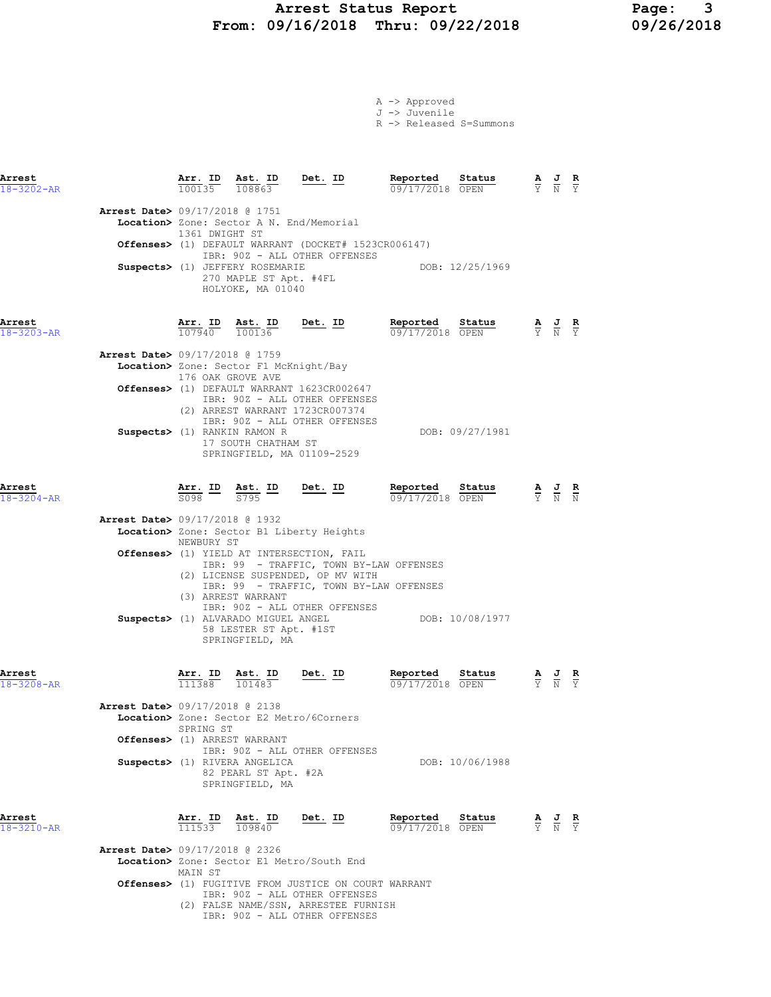#### Arrest Status Report 199/16/2018 Page: 3<br>19/16/2018 Thru: 09/22/2018 199/26/2018 From: 09/16/2018 Thru: 09/22/2018

|  | A -> Approved |                         |
|--|---------------|-------------------------|
|  | J -> Juvenile |                         |
|  |               | R -> Released S=Summons |

| Arrest<br>$18 - 3202 - AR$ |                                                       | $\frac{\text{Arr. ID}}{100135}$ $\frac{\text{Ast. ID}}{108863}$ Det. ID        |                                                                                                                                                     | Reported<br>09/17/2018 OPEN        | Status<br>$\frac{\mathbf{A}}{\mathbf{Y}}$ $\frac{\mathbf{J}}{\mathbf{N}}$ $\frac{\mathbf{R}}{\mathbf{Y}}$ |                                                                 |               |
|----------------------------|-------------------------------------------------------|--------------------------------------------------------------------------------|-----------------------------------------------------------------------------------------------------------------------------------------------------|------------------------------------|-----------------------------------------------------------------------------------------------------------|-----------------------------------------------------------------|---------------|
|                            | <b>Arrest Date&gt; 09/17/2018 @ 1751</b>              |                                                                                |                                                                                                                                                     |                                    |                                                                                                           |                                                                 |               |
|                            | 1361 DWIGHT ST                                        |                                                                                | Location> Zone: Sector A N. End/Memorial                                                                                                            |                                    |                                                                                                           |                                                                 |               |
|                            |                                                       |                                                                                | <b>Offenses&gt;</b> (1) DEFAULT WARRANT (DOCKET# 1523CR006147)<br>IBR: 90Z - ALL OTHER OFFENSES                                                     |                                    |                                                                                                           |                                                                 |               |
|                            |                                                       | Suspects> (1) JEFFERY ROSEMARIE<br>270 MAPLE ST Apt. #4FL<br>HOLYOKE, MA 01040 |                                                                                                                                                     | DOB: 12/25/1969                    |                                                                                                           |                                                                 |               |
| Arrest<br>18-3203-AR       |                                                       | $\frac{\texttt{Arr.}}{107940}$ $\frac{\texttt{ Ast.}}{100136}$ Det. ID         |                                                                                                                                                     | Reported<br>09/17/2018 OPEN        | $\frac{\text{Status}}{\text{OPEN}}$ $\frac{A}{Y}$ $\frac{J}{N}$ $\frac{R}{Y}$                             |                                                                 |               |
|                            | <b>Arrest Date&gt; 09/17/2018 @ 1759</b>              |                                                                                |                                                                                                                                                     |                                    |                                                                                                           |                                                                 |               |
|                            | 176 OAK GROVE AVE                                     | Location> Zone: Sector F1 McKnight/Bay                                         |                                                                                                                                                     |                                    |                                                                                                           |                                                                 |               |
|                            |                                                       |                                                                                | Offenses> (1) DEFAULT WARRANT 1623CR002647<br>IBR: 90Z - ALL OTHER OFFENSES                                                                         |                                    |                                                                                                           |                                                                 |               |
|                            |                                                       |                                                                                | (2) ARREST WARRANT 1723CR007374<br>IBR: 90Z - ALL OTHER OFFENSES                                                                                    |                                    |                                                                                                           |                                                                 |               |
|                            |                                                       | Suspects> (1) RANKIN RAMON R<br>17 SOUTH CHATHAM ST                            | SPRINGFIELD, MA 01109-2529                                                                                                                          |                                    | DOB: 09/27/1981                                                                                           |                                                                 |               |
|                            |                                                       |                                                                                |                                                                                                                                                     |                                    |                                                                                                           |                                                                 |               |
| Arrest<br>$18 - 3204 - AR$ |                                                       |                                                                                | $\frac{\texttt{Arr.}}{\texttt{S098}}$ $\frac{\texttt{ID}}{\texttt{S795}}$ $\frac{\texttt{ID}}{\texttt{S795}}$ $\frac{\texttt{Det.}}{\texttt{S795}}$ | Reported Status<br>09/17/2018 OPEN |                                                                                                           |                                                                 |               |
|                            | <b>Arrest Date&gt; 09/17/2018 @ 1932</b>              |                                                                                |                                                                                                                                                     |                                    |                                                                                                           |                                                                 |               |
|                            | NEWBURY ST                                            |                                                                                | Location> Zone: Sector B1 Liberty Heights                                                                                                           |                                    |                                                                                                           |                                                                 |               |
|                            |                                                       |                                                                                | Offenses> (1) YIELD AT INTERSECTION, FAIL<br>IBR: 99 - TRAFFIC, TOWN BY-LAW OFFENSES<br>(2) LICENSE SUSPENDED, OP MV WITH                           |                                    |                                                                                                           |                                                                 |               |
|                            |                                                       | (3) ARREST WARRANT                                                             | IBR: 99 - TRAFFIC, TOWN BY-LAW OFFENSES                                                                                                             |                                    |                                                                                                           |                                                                 |               |
|                            |                                                       | 58 LESTER ST Apt. #1ST<br>SPRINGFIELD, MA                                      | IBR: 90Z - ALL OTHER OFFENSES<br>Suspects> (1) ALVARADO MIGUEL ANGEL                                                                                | DOB: 10/08/1977                    |                                                                                                           |                                                                 |               |
| Arrest<br>18-3208-AR       | $\frac{\texttt{Arr.}}{111388}$                        | Ast. ID<br>101483                                                              | $Det. ID$                                                                                                                                           | Reported<br>09/17/2018 OPEN        | Status                                                                                                    |                                                                 |               |
|                            | <b>Arrest Date&gt; 09/17/2018 @ 2138</b><br>SPRING ST |                                                                                | Location> Zone: Sector E2 Metro/6Corners                                                                                                            |                                    |                                                                                                           |                                                                 |               |
|                            |                                                       | Offenses> (1) ARREST WARRANT                                                   | IBR: 90Z - ALL OTHER OFFENSES                                                                                                                       |                                    |                                                                                                           |                                                                 |               |
|                            |                                                       | Suspects> (1) RIVERA ANGELICA<br>82 PEARL ST Apt. #2A<br>SPRINGFIELD, MA       |                                                                                                                                                     |                                    | DOB: 10/06/1988                                                                                           |                                                                 |               |
| Arrest<br>18-3210-AR       | <b>Arr. ID</b><br>111533                              | <u>Ast. ID</u><br>109840                                                       | <u>Det. ID</u>                                                                                                                                      | Reported<br>09/17/2018 OPEN        | Status                                                                                                    | $\frac{\mathbf{A}}{\mathbf{Y}}$ $\frac{\mathbf{J}}{\mathbf{N}}$ | $\frac{R}{Y}$ |
|                            | <b>Arrest Date&gt; 09/17/2018 @ 2326</b><br>MAIN ST   |                                                                                | Location> Zone: Sector E1 Metro/South End                                                                                                           |                                    |                                                                                                           |                                                                 |               |

Offenses> (1) FUGITIVE FROM JUSTICE ON COURT WARRANT

 IBR: 90Z - ALL OTHER OFFENSES (2) FALSE NAME/SSN, ARRESTEE FURNISH IBR: 90Z - ALL OTHER OFFENSES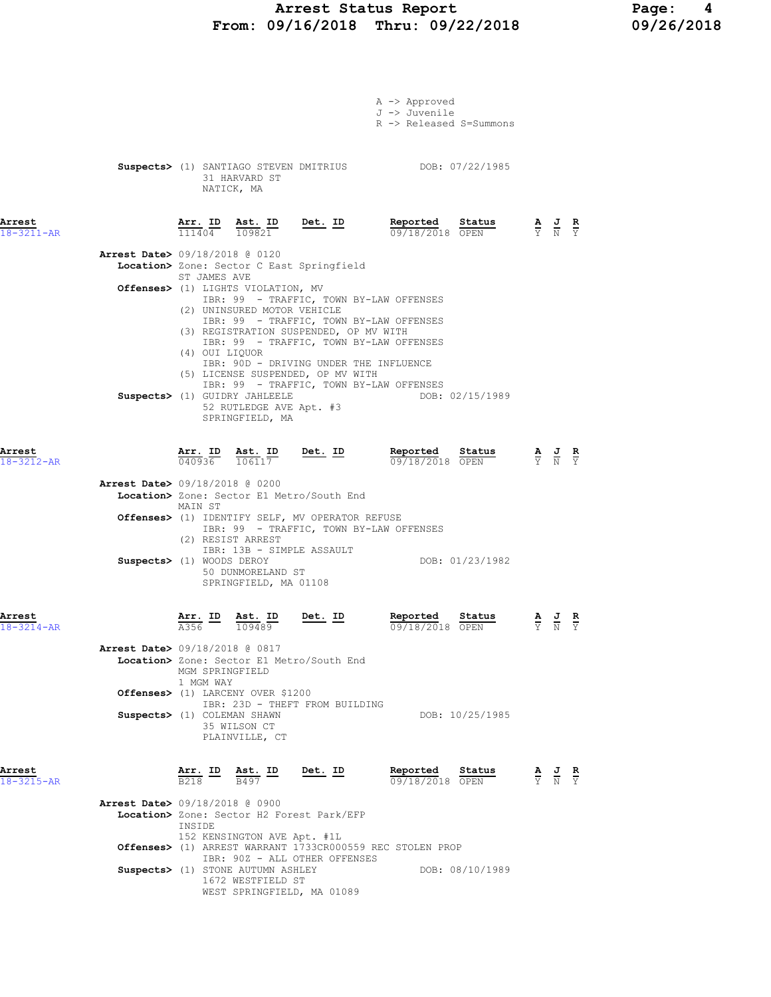## Arrest Status Report 1991 - Page: 4<br>09/16/2018 Thru: 09/22/2018 199/26/2018 From:  $09/16/2018$  Thru:  $09/22/2018$

|                            |                                          |                              |                                                                                                                 |                                                                              | A -> Approved<br>J -> Juvenile<br>R -> Released S=Summons                                                                     |                                                                                                 |                                                                                                 |  |
|----------------------------|------------------------------------------|------------------------------|-----------------------------------------------------------------------------------------------------------------|------------------------------------------------------------------------------|-------------------------------------------------------------------------------------------------------------------------------|-------------------------------------------------------------------------------------------------|-------------------------------------------------------------------------------------------------|--|
|                            |                                          |                              | 31 HARVARD ST<br>NATICK, MA                                                                                     |                                                                              | Suspects> (1) SANTIAGO STEVEN DMITRIUS DOB: 07/22/1985                                                                        |                                                                                                 |                                                                                                 |  |
| Arrest<br>$18 - 3211 - AR$ |                                          |                              |                                                                                                                 |                                                                              | $\frac{\texttt{Arr. ID}}{111404}$ $\frac{\texttt{Ast. ID}}{109821}$ Det. ID Reported Status $\frac{0.9718}{0.911802018}$ OPEN | $\frac{\mathbf{A}}{\mathbf{Y}}$ $\frac{\mathbf{J}}{\mathbf{N}}$ $\frac{\mathbf{R}}{\mathbf{Y}}$ |                                                                                                 |  |
|                            | <b>Arrest Date&gt;</b> 09/18/2018 @ 0120 | ST JAMES AVE                 |                                                                                                                 | Location> Zone: Sector C East Springfield                                    |                                                                                                                               |                                                                                                 |                                                                                                 |  |
|                            |                                          |                              | Offenses> (1) LIGHTS VIOLATION, MV<br>(2) UNINSURED MOTOR VEHICLE                                               |                                                                              | IBR: 99 - TRAFFIC, TOWN BY-LAW OFFENSES<br>IBR: 99 - TRAFFIC, TOWN BY-LAW OFFENSES                                            |                                                                                                 |                                                                                                 |  |
|                            |                                          | (4) OUI LIQUOR               |                                                                                                                 | (3) REGISTRATION SUSPENDED, OP MV WITH<br>(5) LICENSE SUSPENDED, OP MV WITH  | IBR: 99 - TRAFFIC, TOWN BY-LAW OFFENSES<br>IBR: 90D - DRIVING UNDER THE INFLUENCE                                             |                                                                                                 |                                                                                                 |  |
|                            |                                          |                              | Suspects> (1) GUIDRY JAHLEELE<br>52 RUTLEDGE AVE Apt. #3<br>SPRINGFIELD, MA                                     |                                                                              | IBR: 99 - TRAFFIC, TOWN BY-LAW OFFENSES<br>DOB: 02/15/1989                                                                    |                                                                                                 |                                                                                                 |  |
| Arrest<br>$18 - 3212 - AR$ |                                          |                              |                                                                                                                 |                                                                              | <b>Arr. ID</b> Ast. ID Det. ID Reported Status A J R<br>040936 106117 <b>Det. ID</b> 09/18/2018 OPEN Y N Y<br>09/18/2018 OPEN |                                                                                                 |                                                                                                 |  |
|                            | <b>Arrest Date&gt;</b> 09/18/2018 @ 0200 | MAIN ST                      |                                                                                                                 | Location> Zone: Sector E1 Metro/South End                                    |                                                                                                                               |                                                                                                 |                                                                                                 |  |
|                            |                                          |                              | (2) RESIST ARREST                                                                                               | Offenses> (1) IDENTIFY SELF, MV OPERATOR REFUSE<br>IBR: 13B - SIMPLE ASSAULT | IBR: 99 - TRAFFIC, TOWN BY-LAW OFFENSES                                                                                       |                                                                                                 |                                                                                                 |  |
|                            | Suspects> (1) WOODS DEROY                |                              | 50 DUNMORELAND ST<br>SPRINGFIELD, MA 01108                                                                      |                                                                              | DOB: 01/23/1982                                                                                                               |                                                                                                 |                                                                                                 |  |
| Arrest<br>18-3214-AR       |                                          | <u>Arr. ID</u><br>A356       | $\frac{\texttt{Ast.}}{109489}$                                                                                  | <u>Det. ID</u>                                                               | Reported Status<br>09/18/2018 OPEN                                                                                            |                                                                                                 | $\frac{\mathbf{A}}{\mathbf{Y}}$ $\frac{\mathbf{J}}{\mathbf{N}}$ $\frac{\mathbf{R}}{\mathbf{Y}}$ |  |
|                            | <b>Arrest Date&gt; 09/18/2018 @ 0817</b> | MGM SPRINGFIELD<br>1 MGM WAY |                                                                                                                 | Location> Zone: Sector E1 Metro/South End                                    |                                                                                                                               |                                                                                                 |                                                                                                 |  |
|                            | Suspects> (1) COLEMAN SHAWN              |                              | Offenses> (1) LARCENY OVER \$1200                                                                               | IBR: 23D - THEFT FROM BUILDING                                               | DOB: 10/25/1985                                                                                                               |                                                                                                 |                                                                                                 |  |
|                            |                                          |                              | 35 WILSON CT<br>PLAINVILLE, CT                                                                                  |                                                                              |                                                                                                                               |                                                                                                 |                                                                                                 |  |
| Arrest<br>$18 - 3215 - AR$ |                                          |                              | $\frac{\texttt{Arr.}}{\texttt{B218}}$ $\frac{\texttt{ID}}{\texttt{B497}}$ $\frac{\texttt{Est.}}{\texttt{B497}}$ | Det. ID                                                                      | Reported Status<br>09/18/2018 OPEN                                                                                            |                                                                                                 | $\frac{\mathbf{A}}{\mathbf{Y}}$ $\frac{\mathbf{J}}{\mathbf{N}}$ $\frac{\mathbf{R}}{\mathbf{Y}}$ |  |
|                            | <b>Arrest Date&gt; 09/18/2018 @ 0900</b> | INSIDE                       |                                                                                                                 | Location> Zone: Sector H2 Forest Park/EFP                                    |                                                                                                                               |                                                                                                 |                                                                                                 |  |
|                            |                                          |                              | 152 KENSINGTON AVE Apt. #1L                                                                                     | IBR: 90Z - ALL OTHER OFFENSES                                                | Offenses> (1) ARREST WARRANT 1733CR000559 REC STOLEN PROP                                                                     |                                                                                                 |                                                                                                 |  |
|                            |                                          |                              | Suspects> (1) STONE AUTUMN ASHLEY<br>1672 WESTFIELD ST                                                          | WEST SPRINGFIELD, MA 01089                                                   | DOB: 08/10/1989                                                                                                               |                                                                                                 |                                                                                                 |  |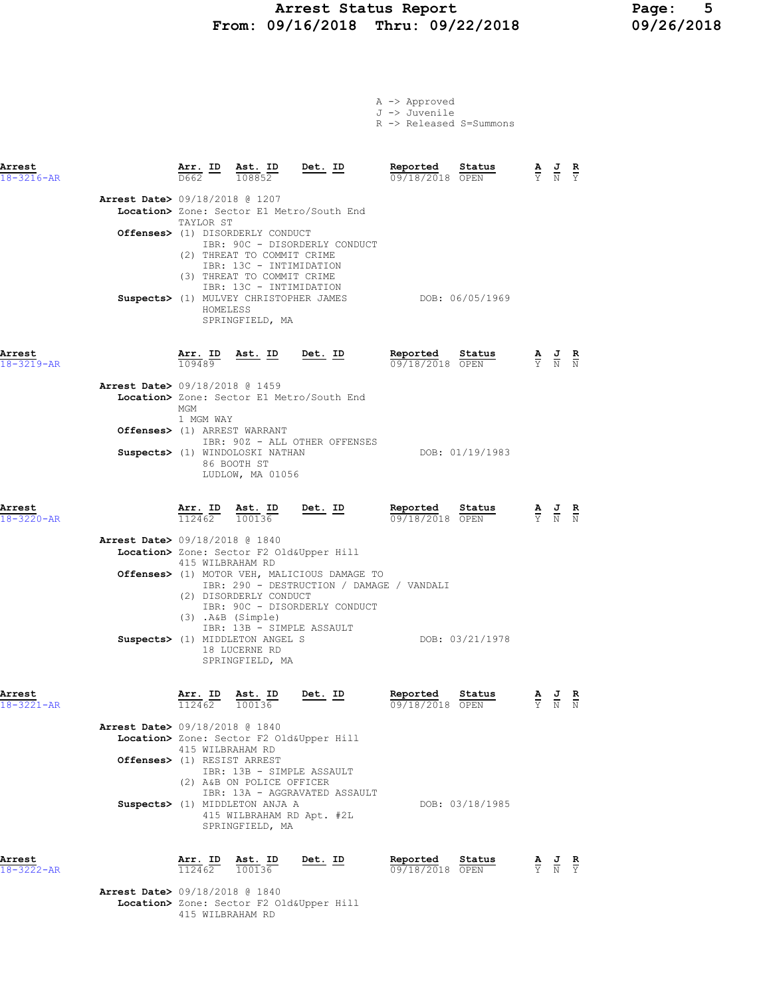#### Arrest Status Report Page: 5 From: 09/16/2018 Thru: 09/22/2018 09/26/2018

|  | A -> Approved                 |  |
|--|-------------------------------|--|
|  | J -> Juvenile                 |  |
|  | <b>P S P. L.</b> 1 <b>P P</b> |  |

|  | R -> Released S=Summons |
|--|-------------------------|
|  |                         |

| Arrest<br>$18 - 3216 - AR$ |                                                                          | <u>Arr.</u> ID                             | Ast. ID<br>108852                                                                                                                                                      | Det. ID                                                                                                                    | Reported<br>09/18/2018 OPEN | Status          |                                                                                                 |                                                                                                 | $rac{\mathbf{R}}{\Upsilon}$ |
|----------------------------|--------------------------------------------------------------------------|--------------------------------------------|------------------------------------------------------------------------------------------------------------------------------------------------------------------------|----------------------------------------------------------------------------------------------------------------------------|-----------------------------|-----------------|-------------------------------------------------------------------------------------------------|-------------------------------------------------------------------------------------------------|-----------------------------|
|                            | <b>Arrest Date&gt;</b> 09/18/2018 @ 1207                                 | TAYLOR ST<br>HOMELESS                      | Offenses> (1) DISORDERLY CONDUCT<br>(2) THREAT TO COMMIT CRIME<br>IBR: 13C - INTIMIDATION<br>(3) THREAT TO COMMIT CRIME<br>IBR: 13C - INTIMIDATION<br>SPRINGFIELD, MA  | Location> Zone: Sector E1 Metro/South End<br>IBR: 90C - DISORDERLY CONDUCT<br>Suspects> (1) MULVEY CHRISTOPHER JAMES       |                             | DOB: 06/05/1969 |                                                                                                 |                                                                                                 |                             |
| Arrest<br>$18 - 3219 - AR$ |                                                                          | 109489                                     | Arr. ID Ast. ID Det. ID                                                                                                                                                |                                                                                                                            | Reported<br>09/18/2018 OPEN | Status          | $\frac{\mathbf{A}}{\mathbf{Y}}$ $\frac{\mathbf{J}}{\mathbf{N}}$ $\frac{\mathbf{R}}{\mathbf{N}}$ |                                                                                                 |                             |
|                            | <b>Arrest Date&gt;</b> 09/18/2018 @ 1459<br>Offenses> (1) ARREST WARRANT | MGM<br>1 MGM WAY                           | Suspects> (1) WINDOLOSKI NATHAN<br>86 BOOTH ST<br>LUDLOW, MA 01056                                                                                                     | Location> Zone: Sector E1 Metro/South End<br>IBR: 90Z - ALL OTHER OFFENSES                                                 |                             | DOB: 01/19/1983 |                                                                                                 |                                                                                                 |                             |
| Arrest<br>$18 - 3220 - AR$ |                                                                          |                                            | $\frac{\texttt{Arr.}}{112462}$ $\frac{\texttt{ Ast.}}{100136}$ Det. ID                                                                                                 |                                                                                                                            | Reported<br>09/18/2018 OPEN | Status          | $\frac{\mathbf{A}}{\mathbf{Y}}$ $\frac{\mathbf{J}}{\mathbf{N}}$ $\frac{\mathbf{R}}{\mathbf{N}}$ |                                                                                                 |                             |
|                            | <b>Arrest Date&gt;</b> 09/18/2018 @ 1840                                 | 415 WILBRAHAM RD<br>$(3)$ . $A&B$ (Simple) | Location> Zone: Sector F2 Old&Upper Hill<br>(2) DISORDERLY CONDUCT<br>IBR: 13B - SIMPLE ASSAULT<br>Suspects> (1) MIDDLETON ANGEL S<br>18 LUCERNE RD<br>SPRINGFIELD, MA | Offenses> (1) MOTOR VEH, MALICIOUS DAMAGE TO<br>IBR: 290 - DESTRUCTION / DAMAGE / VANDALI<br>IBR: 90C - DISORDERLY CONDUCT |                             | DOB: 03/21/1978 |                                                                                                 |                                                                                                 |                             |
| Arrest<br>18-3221-AR       | Arrest Date> 09/18/2018 @ 1840<br>Offenses> (1) RESIST ARREST            | Arr. ID<br>112462<br>415 WILBRAHAM RD      | Ast. ID<br>100136<br>Location> Zone: Sector F2 Old&Upper Hill<br>IBR: 13B - SIMPLE ASSAULT<br>(2) A&B ON POLICE OFFICER                                                | Det. ID                                                                                                                    | Reported<br>09/18/2018 OPEN | Status          | $rac{\mathbf{A}}{\Upsilon}$                                                                     |                                                                                                 |                             |
|                            |                                                                          |                                            | Suspects> (1) MIDDLETON ANJA A<br>415 WILBRAHAM RD Apt. #2L<br>SPRINGFIELD, MA                                                                                         | IBR: 13A - AGGRAVATED ASSAULT                                                                                              |                             | DOB: 03/18/1985 |                                                                                                 |                                                                                                 |                             |
| Arrest<br>18-3222-AR       |                                                                          | Arr. ID<br>112462                          | Ast. ID<br>100136                                                                                                                                                      | Det. ID                                                                                                                    | Reported<br>09/18/2018 OPEN | Status          |                                                                                                 | $\frac{\mathbf{A}}{\mathbf{Y}}$ $\frac{\mathbf{J}}{\mathbf{N}}$ $\frac{\mathbf{R}}{\mathbf{Y}}$ |                             |
|                            | <b>Arrest Date&gt;</b> 09/18/2018 @ 1840                                 |                                            | Location> Zone: Sector F2 Old&Upper Hill                                                                                                                               |                                                                                                                            |                             |                 |                                                                                                 |                                                                                                 |                             |

415 WILBRAHAM RD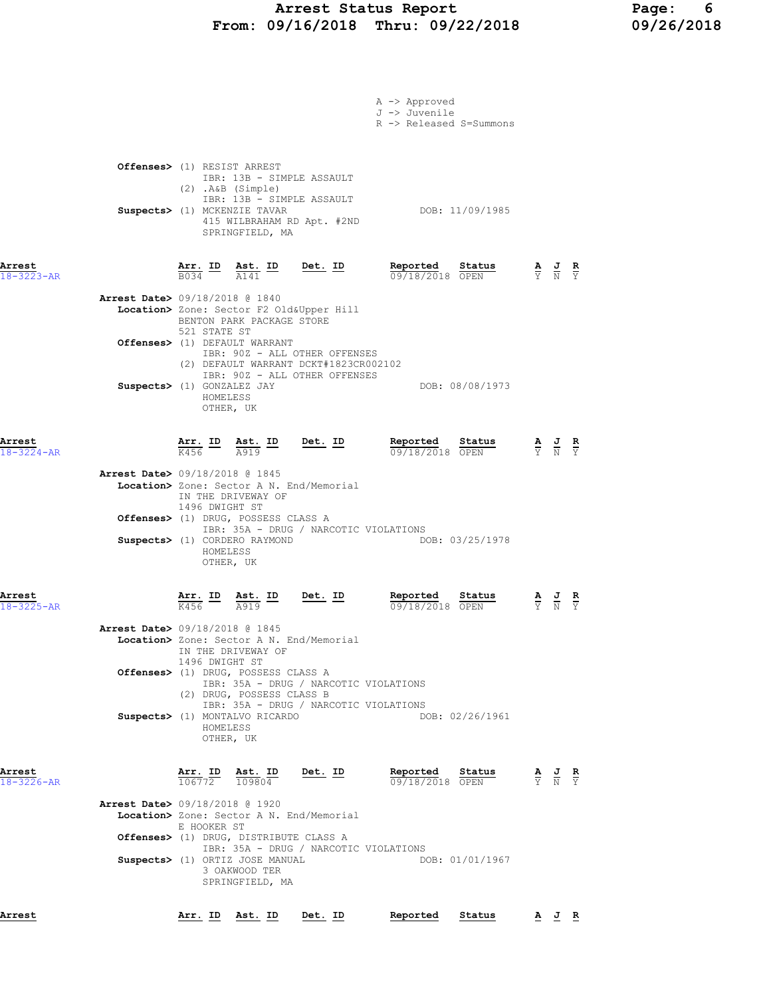### Arrest Status Report Page: 6 From: 09/16/2018 Thru: 09/22/2018 09/26/2018

|                            | A -> Approved<br>J -> Juvenile<br>R -> Released S=Summons                                                                                                                 |                                                                                                       |                                   |
|----------------------------|---------------------------------------------------------------------------------------------------------------------------------------------------------------------------|-------------------------------------------------------------------------------------------------------|-----------------------------------|
|                            | Offenses> (1) RESIST ARREST<br>IBR: 13B - SIMPLE ASSAULT<br>$(2)$ . A&B $(Simple)$<br>IBR: 13B - SIMPLE ASSAULT                                                           |                                                                                                       |                                   |
|                            | DOB: 11/09/1985<br>Suspects> (1) MCKENZIE TAVAR<br>415 WILBRAHAM RD Apt. #2ND<br>SPRINGFIELD, MA                                                                          |                                                                                                       |                                   |
| Arrest<br>$18 - 3223 - AR$ | Reported<br>Det $_{\cdot}$ ID<br>Status<br>Arr. ID<br>Ast. ID<br>B034<br>$\overline{A141}$<br>09/18/2018 OPEN                                                             | $\frac{\mathbf{A}}{\overline{Y}}$ $\frac{\mathbf{J}}{\overline{N}}$ $\frac{\mathbf{R}}{\overline{Y}}$ |                                   |
|                            | <b>Arrest Date&gt; 09/18/2018 @ 1840</b><br>Location> Zone: Sector F2 Old&Upper Hill<br>BENTON PARK PACKAGE STORE<br>521 STATE ST                                         |                                                                                                       |                                   |
|                            | Offenses> (1) DEFAULT WARRANT<br>IBR: 90Z - ALL OTHER OFFENSES<br>(2) DEFAULT WARRANT DCKT#1823CR002102                                                                   |                                                                                                       |                                   |
|                            | IBR: 90Z - ALL OTHER OFFENSES<br>Suspects> (1) GONZALEZ JAY<br>DOB: 08/08/1973<br>HOMELESS<br>OTHER, UK                                                                   |                                                                                                       |                                   |
| Arrest<br>$18 - 3224 - AR$ | Reported Status<br>$\frac{\texttt{Arr.}}{\text{K456}}$ ID<br>$\frac{\texttt{Ast.}}{\Delta 919}$ $\frac{\texttt{Det.}}{\Delta 919}$<br>A919<br>09/18/2018 OPEN             | $\frac{\mathbf{A}}{\mathbf{Y}}$ $\frac{\mathbf{J}}{\mathbf{N}}$ $\frac{\mathbf{R}}{\mathbf{Y}}$       |                                   |
|                            | <b>Arrest Date&gt;</b> 09/18/2018 @ 1845<br>Location> Zone: Sector A N. End/Memorial<br>IN THE DRIVEWAY OF<br>1496 DWIGHT ST                                              |                                                                                                       |                                   |
|                            | Offenses> (1) DRUG, POSSESS CLASS A<br>IBR: 35A - DRUG / NARCOTIC VIOLATIONS<br>DOB: 03/25/1978<br>Suspects> (1) CORDERO RAYMOND<br>HOMELESS<br>OTHER, UK                 |                                                                                                       |                                   |
| Arrest<br>18-3225-AR       | <u>Arr. ID</u><br>Det. ID<br>Reported<br>Status<br>Ast. ID<br>K456<br>09/18/2018 OPEN<br>A919                                                                             | $\frac{\mathbf{A}}{\mathbf{Y}}$ $\frac{\mathbf{J}}{\mathbf{N}}$                                       | $\frac{\mathbf{R}}{\overline{Y}}$ |
|                            | Arrest Date> 09/18/2018 @ 1845<br>Location> Zone: Sector A N. End/Memorial<br>IN THE DRIVEWAY OF<br>1496 DWIGHT ST                                                        |                                                                                                       |                                   |
|                            | Offenses> (1) DRUG, POSSESS CLASS A<br>IBR: 35A - DRUG / NARCOTIC VIOLATIONS<br>(2) DRUG, POSSESS CLASS B<br>IBR: 35A - DRUG / NARCOTIC VIOLATIONS                        |                                                                                                       |                                   |
|                            | DOB: 02/26/1961<br>Suspects> (1) MONTALVO RICARDO<br>HOMELESS<br>OTHER, UK                                                                                                |                                                                                                       |                                   |
| Arrest<br>$18 - 3226 - AR$ | Arr. ID<br>Ast. ID<br>Det. ID<br>Reported<br>Status<br>106772<br>109804<br>09/18/2018 OPEN                                                                                | $\frac{\mathbf{A}}{\mathbf{Y}}$ $\frac{\mathbf{J}}{\mathbf{N}}$ $\frac{\mathbf{R}}{\mathbf{Y}}$       |                                   |
|                            | <b>Arrest Date&gt;</b> 09/18/2018 @ 1920<br>Location> Zone: Sector A N. End/Memorial<br>E HOOKER ST                                                                       |                                                                                                       |                                   |
|                            | Offenses> (1) DRUG, DISTRIBUTE CLASS A<br>IBR: 35A - DRUG / NARCOTIC VIOLATIONS<br>Suspects> (1) ORTIZ JOSE MANUAL<br>DOB: 01/01/1967<br>3 OAKWOOD TER<br>SPRINGFIELD, MA |                                                                                                       |                                   |
| Arrest                     | Arr. ID Ast. ID Det. ID<br>Reported<br>Status                                                                                                                             | A J R                                                                                                 |                                   |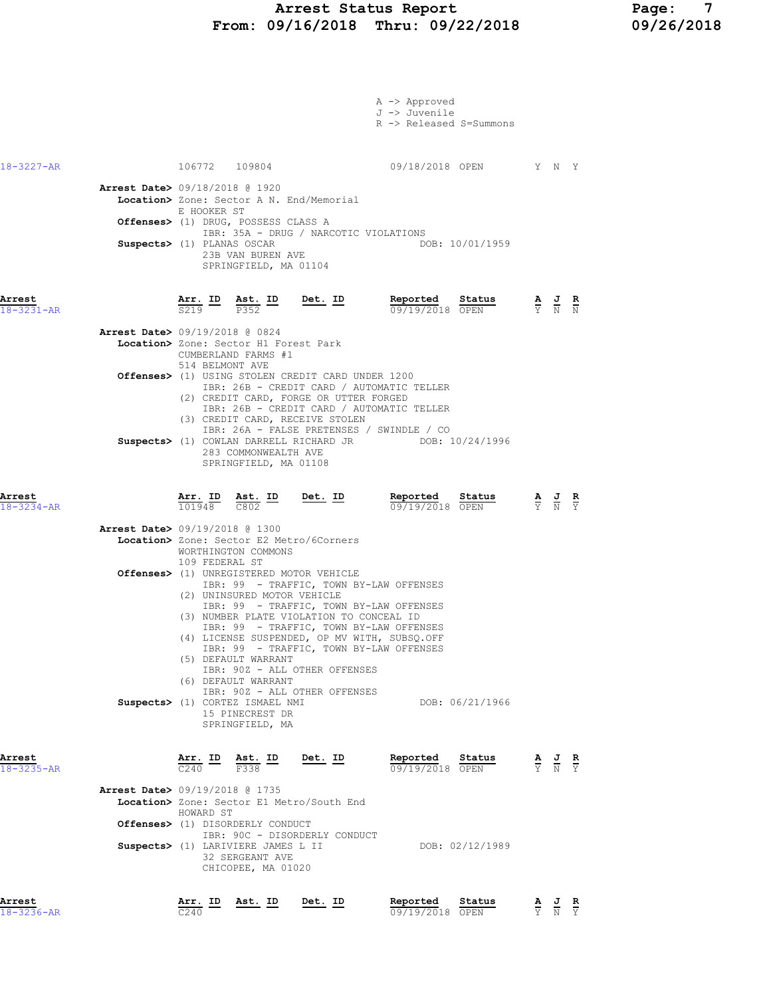#### Arrest Status Report Page: 7 From: 09/16/2018 Thru: 09/22/2018 09/26/2018

| Arrest<br>$18 - 3236 - AR$ | <u>Arr. ID</u><br>C <sub>240</sub>                                                                                                                                                     | <u>Ast. ID</u>                                                                                                             | <u>Det. ID</u>                                                                                                                                                                                                            | Reported<br>09/19/2018 OPEN                               | Status          | $\frac{\mathbf{A}}{\mathbf{Y}}$ $\frac{\mathbf{J}}{\mathbf{N}}$ $\frac{\mathbf{R}}{\mathbf{Y}}$ |               |
|----------------------------|----------------------------------------------------------------------------------------------------------------------------------------------------------------------------------------|----------------------------------------------------------------------------------------------------------------------------|---------------------------------------------------------------------------------------------------------------------------------------------------------------------------------------------------------------------------|-----------------------------------------------------------|-----------------|-------------------------------------------------------------------------------------------------|---------------|
|                            | <b>Arrest Date&gt; 09/19/2018 @ 1735</b><br>Location> Zone: Sector E1 Metro/South End<br>HOWARD ST<br><b>Offenses&gt;</b> (1) DISORDERLY CONDUCT<br>Suspects> (1) LARIVIERE JAMES L II | 32 SERGEANT AVE<br>CHICOPEE, MA 01020                                                                                      | IBR: 90C - DISORDERLY CONDUCT                                                                                                                                                                                             |                                                           | DOB: 02/12/1989 |                                                                                                 |               |
| Arrest<br>$18 - 3235 - AR$ |                                                                                                                                                                                        | $\frac{\texttt{Arr.}}{C240}$ ID $\frac{\texttt{Ast.}}{F338}$ ID Det. ID                                                    |                                                                                                                                                                                                                           | Reported                                                  | Status          | $\frac{\mathbf{A}}{\mathbf{Y}}$ $\frac{\mathbf{J}}{\mathbf{N}}$ $\frac{\mathbf{R}}{\mathbf{Y}}$ |               |
|                            | Suspects> (1) CORTEZ ISMAEL NMI                                                                                                                                                        | (6) DEFAULT WARRANT<br>15 PINECREST DR<br>SPRINGFIELD, MA                                                                  | IBR: 90Z - ALL OTHER OFFENSES<br>IBR: 90Z - ALL OTHER OFFENSES                                                                                                                                                            |                                                           | DOB: 06/21/1966 |                                                                                                 |               |
|                            |                                                                                                                                                                                        | (2) UNINSURED MOTOR VEHICLE<br>(5) DEFAULT WARRANT                                                                         | IBR: 99 - TRAFFIC, TOWN BY-LAW OFFENSES<br>(3) NUMBER PLATE VIOLATION TO CONCEAL ID<br>IBR: 99 - TRAFFIC, TOWN BY-LAW OFFENSES<br>(4) LICENSE SUSPENDED, OP MV WITH, SUBSQ.OFF<br>IBR: 99 - TRAFFIC, TOWN BY-LAW OFFENSES |                                                           |                 |                                                                                                 |               |
|                            | Arrest Date> 09/19/2018 @ 1300<br>Location> Zone: Sector E2 Metro/6Corners<br>109 FEDERAL ST<br><b>Offenses&gt;</b> (1) UNREGISTERED MOTOR VEHICLE                                     | WORTHINGTON COMMONS                                                                                                        | IBR: 99 - TRAFFIC, TOWN BY-LAW OFFENSES                                                                                                                                                                                   |                                                           |                 |                                                                                                 |               |
| Arrest<br>$18 - 3234 - AR$ | $\frac{\texttt{Arr.}}{101948}$ $\frac{\texttt{ Ast.}}{C802}$ $\frac{\texttt{I}}{C802}$                                                                                                 | <u>Ast. ID</u>                                                                                                             | <u>Det. ID</u>                                                                                                                                                                                                            | Reported Status<br>09/19/2018 OPEN                        |                 | $\frac{\mathbf{A}}{\mathbf{Y}}$ $\frac{\mathbf{J}}{\mathbf{N}}$ $\frac{\mathbf{R}}{\mathbf{Y}}$ |               |
|                            | Suspects> (1) COWLAN DARRELL RICHARD JR DOB: 10/24/1996                                                                                                                                | 283 COMMONWEALTH AVE<br>SPRINGFIELD, MA 01108                                                                              | (3) CREDIT CARD, RECEIVE STOLEN<br>IBR: 26A - FALSE PRETENSES / SWINDLE / CO                                                                                                                                              |                                                           |                 |                                                                                                 |               |
|                            | Offenses> (1) USING STOLEN CREDIT CARD UNDER 1200                                                                                                                                      |                                                                                                                            | IBR: 26B - CREDIT CARD / AUTOMATIC TELLER<br>(2) CREDIT CARD, FORGE OR UTTER FORGED<br>IBR: 26B - CREDIT CARD / AUTOMATIC TELLER                                                                                          |                                                           |                 |                                                                                                 |               |
| $18 - 3231 - AR$           | <b>Arrest Date&gt;</b> 09/19/2018 @ 0824<br>Location> Zone: Sector H1 Forest Park<br>514 BELMONT AVE                                                                                   | $\frac{\text{Arr.}}{\text{S219}}$ $\frac{\text{lb}}{\text{P352}}$ $\frac{\text{Est.}}{\text{P352}}$<br>CUMBERLAND FARMS #1 |                                                                                                                                                                                                                           | 09/19/2018 OPEN                                           |                 | $\frac{\mathbf{A}}{\mathbf{Y}}$ $\frac{\mathbf{J}}{\mathbf{N}}$                                 | $\frac{R}{N}$ |
| Arrest                     | Suspects> (1) PLANAS OSCAR                                                                                                                                                             | 23B VAN BUREN AVE<br>SPRINGFIELD, MA 01104                                                                                 | Det. ID                                                                                                                                                                                                                   | Reported Status                                           |                 |                                                                                                 |               |
|                            | <b>Arrest Date&gt; 09/18/2018 @ 1920</b><br>Location> Zone: Sector A N. End/Memorial<br>E HOOKER ST<br>Offenses> (1) DRUG, POSSESS CLASS A                                             |                                                                                                                            | IBR: 35A - DRUG / NARCOTIC VIOLATIONS                                                                                                                                                                                     |                                                           | DOB: 10/01/1959 |                                                                                                 |               |
| $18 - 3227 - AR$           |                                                                                                                                                                                        | 106772 109804                                                                                                              |                                                                                                                                                                                                                           | 09/18/2018 OPEN Y N Y                                     |                 |                                                                                                 |               |
|                            |                                                                                                                                                                                        |                                                                                                                            |                                                                                                                                                                                                                           | A -> Approved<br>J -> Juvenile<br>R -> Released S=Summons |                 |                                                                                                 |               |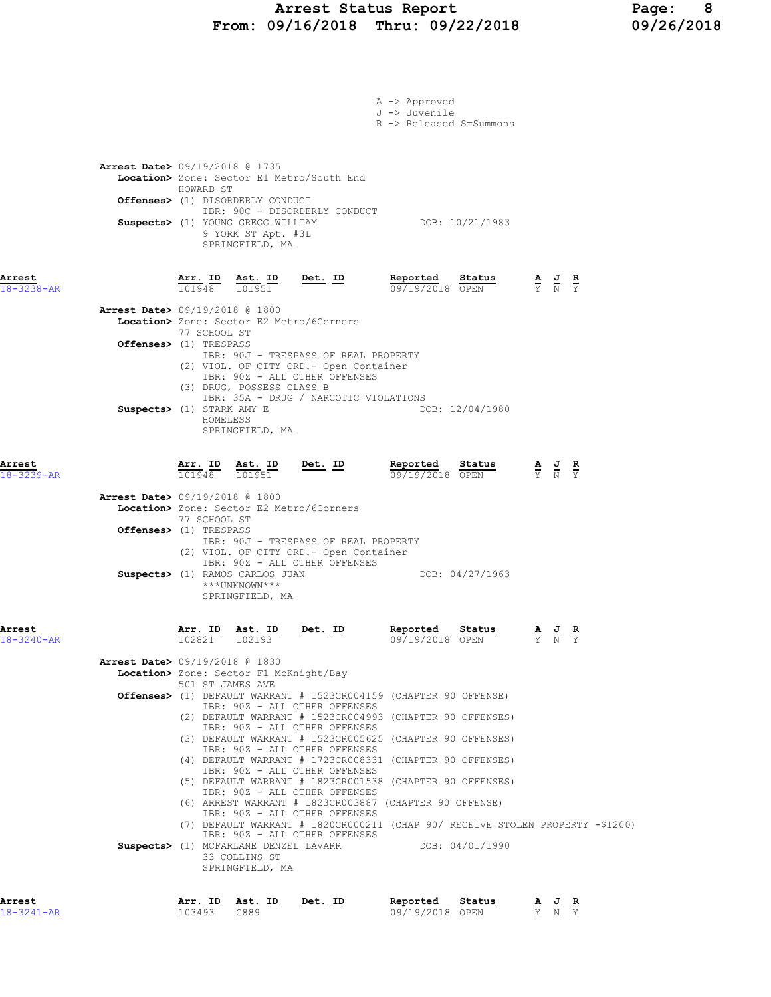### Arrest Status Report Page: 8 From: 09/16/2018 Thru: 09/22/2018 09/26/2018

|                            |                                          |                          |                                                                                                                          |                                                                                                                  | A -> Approved<br>J -> Juvenile<br>R -> Released S=Summons |                           |                                                                                                       |  |
|----------------------------|------------------------------------------|--------------------------|--------------------------------------------------------------------------------------------------------------------------|------------------------------------------------------------------------------------------------------------------|-----------------------------------------------------------|---------------------------|-------------------------------------------------------------------------------------------------------|--|
|                            | Arrest Date> 09/19/2018 @ 1735           | HOWARD ST                |                                                                                                                          | Location> Zone: Sector E1 Metro/South End                                                                        |                                                           |                           |                                                                                                       |  |
|                            |                                          |                          | Offenses> (1) DISORDERLY CONDUCT<br><b>Suspects&gt;</b> (1) YOUNG GREGG WILLIAM<br>9 YORK ST Apt. #3L<br>SPRINGFIELD, MA | IBR: 90C - DISORDERLY CONDUCT                                                                                    |                                                           | DOB: 10/21/1983           |                                                                                                       |  |
| Arrest<br>18-3238-AR       |                                          |                          | $\frac{\texttt{Arr.}}{101948}$ $\frac{\texttt{ Ast.}}{101951}$                                                           | <u>Det.</u> ID                                                                                                   | Reported<br>09/19/2018 OPEN                               | Status                    | $\frac{\mathbf{A}}{\overline{Y}}$ $\frac{\mathbf{J}}{\overline{N}}$ $\frac{\mathbf{R}}{\overline{Y}}$ |  |
|                            | <b>Arrest Date&gt;</b> 09/19/2018 @ 1800 | 77 SCHOOL ST             |                                                                                                                          | Location> Zone: Sector E2 Metro/6Corners                                                                         |                                                           |                           |                                                                                                       |  |
|                            | Offenses> (1) TRESPASS                   |                          | (3) DRUG, POSSESS CLASS B                                                                                                | IBR: 90J - TRESPASS OF REAL PROPERTY<br>(2) VIOL. OF CITY ORD. - Open Container<br>IBR: 90Z - ALL OTHER OFFENSES |                                                           |                           |                                                                                                       |  |
|                            | Suspects> (1) STARK AMY E                | HOMELESS                 | SPRINGFIELD, MA                                                                                                          | IBR: 35A - DRUG / NARCOTIC VIOLATIONS                                                                            |                                                           | DOB: 12/04/1980           |                                                                                                       |  |
| Arrest<br>$18 - 3239 - AR$ |                                          | <u>Arr.</u> ID<br>101948 | Ast. ID<br>101951                                                                                                        | $Det. ID$                                                                                                        | Reported<br>09/19/2018 OPEN                               | Status                    | $\frac{\mathbf{A}}{\overline{Y}}$ $\frac{\mathbf{J}}{\overline{N}}$ $\frac{\mathbf{R}}{\overline{Y}}$ |  |
|                            | <b>Arrest Date&gt; 09/19/2018 @ 1800</b> | 77 SCHOOL ST             |                                                                                                                          | Location> Zone: Sector E2 Metro/6Corners                                                                         |                                                           |                           |                                                                                                       |  |
|                            | Offenses> (1) TRESPASS                   |                          |                                                                                                                          | IBR: 90J - TRESPASS OF REAL PROPERTY<br>(2) VIOL. OF CITY ORD. - Open Container<br>IBR: 90Z - ALL OTHER OFFENSES |                                                           |                           |                                                                                                       |  |
|                            |                                          |                          | Suspects> (1) RAMOS CARLOS JUAN<br>***UNKNOWN***<br>SPRINGFIELD, MA                                                      |                                                                                                                  |                                                           | DOB: 04/27/1963           |                                                                                                       |  |
| Arrest<br>18-3240-AR       |                                          | 102821 102193            | Arr. ID Ast. ID                                                                                                          | Det. ID                                                                                                          | Reported                                                  | Status<br>09/19/2018 OPEN | AJR<br>Y N Y                                                                                          |  |
|                            | Arrest Date> 09/19/2018 @ 1830           |                          | Location> Zone: Sector F1 McKnight/Bay                                                                                   |                                                                                                                  |                                                           |                           |                                                                                                       |  |
|                            |                                          | 501 ST JAMES AVE         |                                                                                                                          | Offenses> (1) DEFAULT WARRANT # 1523CR004159 (CHAPTER 90 OFFENSE)<br>IBR: 90Z - ALL OTHER OFFENSES               |                                                           |                           |                                                                                                       |  |
|                            |                                          |                          |                                                                                                                          | (2) DEFAULT WARRANT # 1523CR004993 (CHAPTER 90 OFFENSES)<br>IBR: 90Z - ALL OTHER OFFENSES                        |                                                           |                           |                                                                                                       |  |
|                            |                                          |                          |                                                                                                                          | (3) DEFAULT WARRANT # 1523CR005625 (CHAPTER 90 OFFENSES)<br>IBR: 90Z - ALL OTHER OFFENSES                        |                                                           |                           |                                                                                                       |  |
|                            |                                          |                          |                                                                                                                          | (4) DEFAULT WARRANT # 1723CR008331 (CHAPTER 90 OFFENSES)<br>IBR: 90Z - ALL OTHER OFFENSES                        |                                                           |                           |                                                                                                       |  |
|                            |                                          |                          |                                                                                                                          | (5) DEFAULT WARRANT # 1823CR001538 (CHAPTER 90 OFFENSES)<br>IBR: 90Z - ALL OTHER OFFENSES                        |                                                           |                           |                                                                                                       |  |
|                            |                                          |                          |                                                                                                                          | (6) ARREST WARRANT # 1823CR003887 (CHAPTER 90 OFFENSE)<br>IBR: 90Z - ALL OTHER OFFENSES                          |                                                           |                           |                                                                                                       |  |
|                            |                                          |                          |                                                                                                                          | (7) DEFAULT WARRANT # 1820CR000211 (CHAP 90/ RECEIVE STOLEN PROPERTY -\$1200)<br>IBR: 90Z - ALL OTHER OFFENSES   |                                                           |                           |                                                                                                       |  |
|                            |                                          |                          | 33 COLLINS ST<br>SPRINGFIELD, MA                                                                                         | Suspects> (1) MCFARLANE DENZEL LAVARR DOB: 04/01/1990                                                            |                                                           |                           |                                                                                                       |  |
| Arrest<br>$18 - 3241 - AR$ |                                          | 103493                   | Arr. ID Ast. ID<br>G889                                                                                                  | Det. ID                                                                                                          | Reported Status<br>09/19/2018 OPEN                        |                           | $\frac{\mathbf{A}}{\mathbf{Y}}$ $\frac{\mathbf{J}}{\mathbf{N}}$ $\frac{\mathbf{R}}{\mathbf{Y}}$       |  |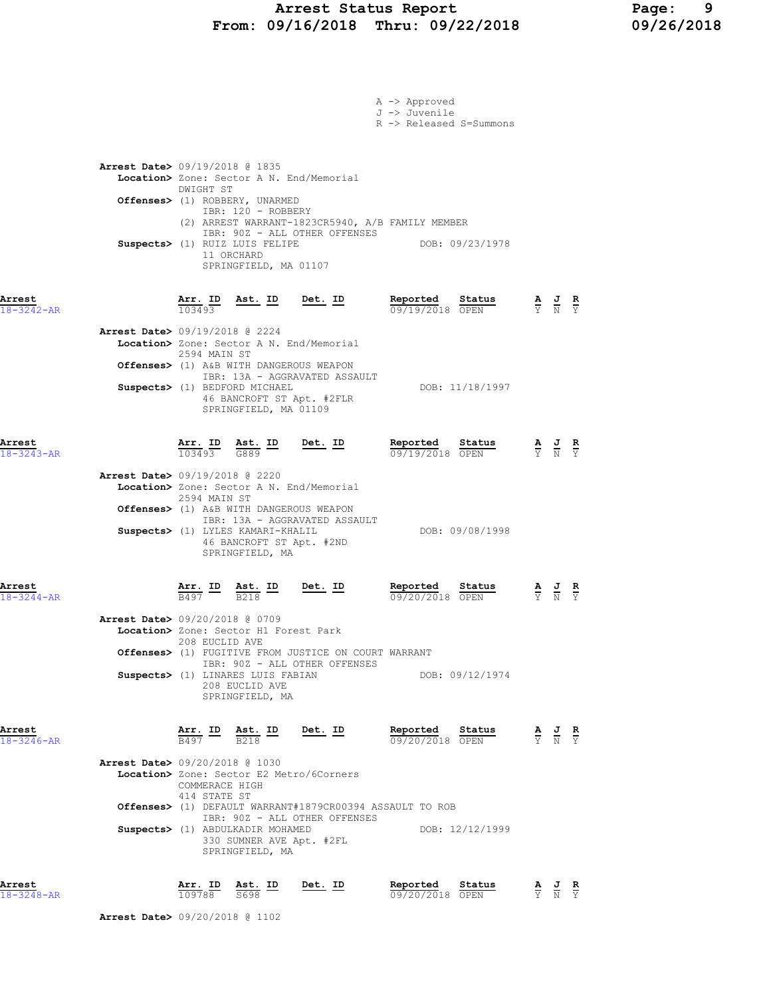### Arrest Status Report Page: 9 From: 09/16/2018 Thru: 09/22/2018 09/26/2018

|                            |                                          |                                |                                                                                                                                                                         |                                                                                                                                                 | A -> Approved<br>J -> Juvenile<br>R -> Released S=Summons |                                                                                                 |                                                                                                 |  |
|----------------------------|------------------------------------------|--------------------------------|-------------------------------------------------------------------------------------------------------------------------------------------------------------------------|-------------------------------------------------------------------------------------------------------------------------------------------------|-----------------------------------------------------------|-------------------------------------------------------------------------------------------------|-------------------------------------------------------------------------------------------------|--|
|                            | <b>Arrest Date&gt; 09/19/2018 @ 1835</b> | DWIGHT ST                      | Location> Zone: Sector A N. End/Memorial                                                                                                                                |                                                                                                                                                 |                                                           |                                                                                                 |                                                                                                 |  |
|                            |                                          |                                | Offenses> (1) ROBBERY, UNARMED<br>IBR: 120 - ROBBERY<br>Suspects> (1) RUIZ LUIS FELIPE<br>11 ORCHARD<br>SPRINGFIELD, MA 01107                                           | (2) ARREST WARRANT-1823CR5940, A/B FAMILY MEMBER<br>IBR: 90Z - ALL OTHER OFFENSES                                                               |                                                           | DOB: 09/23/1978                                                                                 |                                                                                                 |  |
| Arrest<br>$18 - 3242 - AR$ |                                          | 103493                         | Arr. ID Ast. ID Det. ID                                                                                                                                                 |                                                                                                                                                 | Reported<br>09/19/2018 OPEN                               | Status                                                                                          | $\frac{\mathbf{A}}{\mathbf{Y}}$ $\frac{\mathbf{J}}{\mathbf{N}}$ $\frac{\mathbf{R}}{\mathbf{Y}}$ |  |
|                            | <b>Arrest Date&gt;</b> 09/19/2018 @ 2224 | 2594 MAIN ST                   | Offenses> (1) A&B WITH DANGEROUS WEAPON<br>Suspects> (1) BEDFORD MICHAEL<br>46 BANCROFT ST Apt. #2FLR<br>SPRINGFIELD, MA 01109                                          | Location> Zone: Sector A N. End/Memorial<br>IBR: 13A - AGGRAVATED ASSAULT                                                                       |                                                           | DOB: 11/18/1997                                                                                 |                                                                                                 |  |
| Arrest<br>$18 - 3243 - AR$ |                                          | <u>Arr.</u> ID<br>103493       | $\frac{\text{Ast.}}{\text{G889}}$ ID                                                                                                                                    | <u>Det.</u> ID                                                                                                                                  | Reported<br>09/19/2018 OPEN                               | Status                                                                                          | $\frac{\mathbf{A}}{\mathbf{Y}}$ $\frac{\mathbf{J}}{\mathbf{N}}$ $\frac{\mathbf{R}}{\mathbf{Y}}$ |  |
|                            | <b>Arrest Date&gt;</b> 09/19/2018 @ 2220 | 2594 MAIN ST                   | Location> Zone: Sector A N. End/Memorial<br>Offenses> (1) A&B WITH DANGEROUS WEAPON<br>Suspects> (1) LYLES KAMARI-KHALIL<br>46 BANCROFT ST Apt. #2ND<br>SPRINGFIELD, MA | IBR: 13A - AGGRAVATED ASSAULT                                                                                                                   |                                                           | DOB: 09/08/1998                                                                                 |                                                                                                 |  |
| Arrest<br>$18 - 3244 - AR$ |                                          | <u>Arr. ID</u>                 | <u>Ast. ID</u><br>B <sub>218</sub>                                                                                                                                      | <u>Det. ID</u>                                                                                                                                  | Reported<br>09/20/2018 OPEN                               | Status                                                                                          | $\frac{\mathbf{A}}{\mathbf{Y}}$ $\frac{\mathbf{J}}{\mathbf{N}}$ $\frac{\mathbf{R}}{\mathbf{Y}}$ |  |
|                            | <b>Arrest Date&gt; 09/20/2018 @ 0709</b> | 208 EUCLID AVE                 | Location> Zone: Sector H1 Forest Park<br>Suspects> (1) LINARES LUIS FABIAN<br>208 EUCLID AVE<br>SPRINGFIELD, MA                                                         | Offenses> (1) FUGITIVE FROM JUSTICE ON COURT WARRANT<br>IBR: 90Z - ALL OTHER OFFENSES                                                           | DOB: 09/12/1974                                           |                                                                                                 |                                                                                                 |  |
| Arrest<br>$18 - 3246 - AR$ |                                          |                                | $\frac{\texttt{Arr.}}{\texttt{B497}}$ ID $\frac{\texttt{ Ast.}}{\texttt{B218}}$ ID Det. ID                                                                              |                                                                                                                                                 | Reported Status<br>09/20/2018 OPEN                        | $\frac{\mathbf{A}}{\mathbf{Y}}$ $\frac{\mathbf{J}}{\mathbf{N}}$ $\frac{\mathbf{R}}{\mathbf{Y}}$ |                                                                                                 |  |
|                            | <b>Arrest Date&gt; 09/20/2018 @ 1030</b> | COMMERACE HIGH<br>414 STATE ST | Suspects> (1) ABDULKADIR MOHAMED<br>330 SUMNER AVE Apt. #2FL<br>SPRINGFIELD, MA                                                                                         | Location> Zone: Sector E2 Metro/6Corners<br><b>Offenses&gt;</b> (1) DEFAULT WARRANT#1879CR00394 ASSAULT TO ROB<br>IBR: 90Z - ALL OTHER OFFENSES |                                                           | DOB: 12/12/1999                                                                                 |                                                                                                 |  |
| Arrest<br>$18 - 3248 - AR$ |                                          |                                | $\frac{\texttt{Arr. ID}}{109788}$ $\frac{\texttt{ Ast. ID}}{5698}$ Det. ID                                                                                              |                                                                                                                                                 | Reported Status<br>09/20/2018 OPEN                        |                                                                                                 | $\frac{\mathbf{A}}{\mathbf{Y}}$ $\frac{\mathbf{J}}{\mathbf{N}}$ $\frac{\mathbf{R}}{\mathbf{Y}}$ |  |
|                            | <b>Arrest Date&gt;</b> 09/20/2018 @ 1102 |                                |                                                                                                                                                                         |                                                                                                                                                 |                                                           |                                                                                                 |                                                                                                 |  |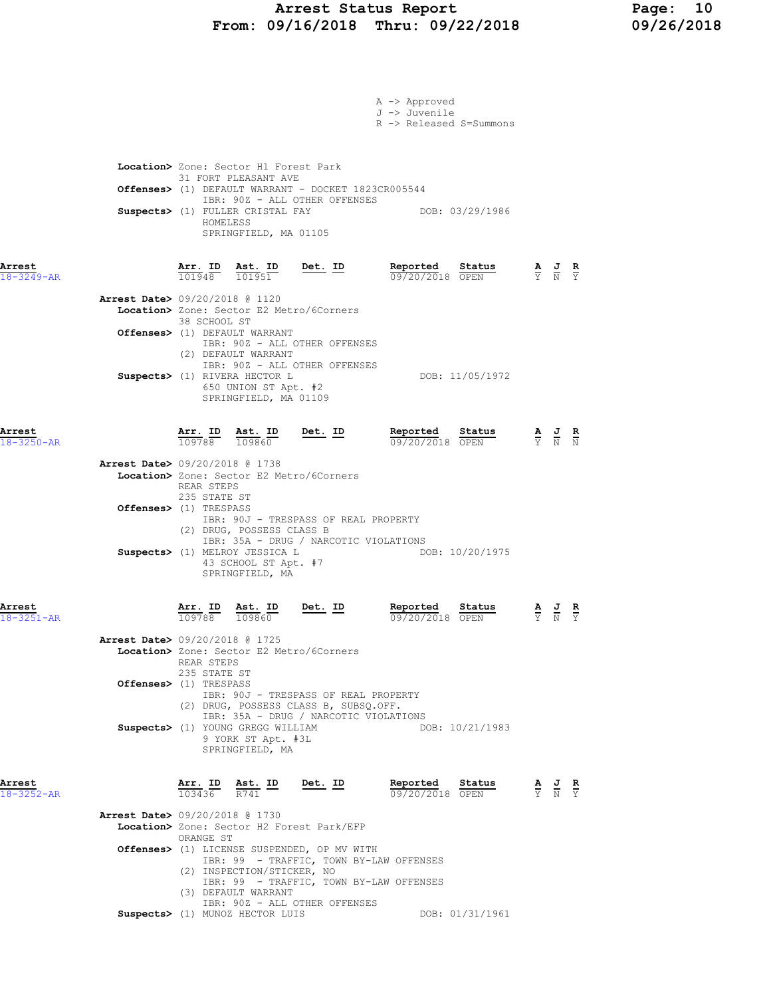### Arrest Status Report Page: 10 From: 09/16/2018 Thru: 09/22/2018 09/26/2018

|                            |                                          |                                   |                                                                                                                            |                                                                               | A -> Approved<br>J -> Juvenile<br>R -> Released S=Summons                          |                                                                                                 |                               |
|----------------------------|------------------------------------------|-----------------------------------|----------------------------------------------------------------------------------------------------------------------------|-------------------------------------------------------------------------------|------------------------------------------------------------------------------------|-------------------------------------------------------------------------------------------------|-------------------------------|
|                            |                                          | HOMELESS                          | Location> Zone: Sector H1 Forest Park<br>31 FORT PLEASANT AVE<br>Suspects> (1) FULLER CRISTAL FAY<br>SPRINGFIELD, MA 01105 | IBR: 90Z - ALL OTHER OFFENSES                                                 | Offenses> (1) DEFAULT WARRANT - DOCKET 1823CR005544<br>DOB: 03/29/1986             |                                                                                                 |                               |
| Arrest<br>$18 - 3249 - AR$ |                                          |                                   | $\frac{\texttt{Arr.}}{101948}$ $\frac{\texttt{ Ast.}}{101951}$                                                             | <u>Det. ID</u>                                                                | Reported<br><u>Status</u><br>09/20/2018 OPEN                                       | $\frac{\mathbf{A}}{\mathbf{Y}}$ $\frac{\mathbf{J}}{\mathbf{N}}$ $\frac{\mathbf{R}}{\mathbf{Y}}$ |                               |
|                            | Arrest Date> 09/20/2018 @ 1120           | 38 SCHOOL ST                      | Offenses> (1) DEFAULT WARRANT<br>(2) DEFAULT WARRANT                                                                       | Location> Zone: Sector E2 Metro/6Corners<br>IBR: 90Z - ALL OTHER OFFENSES     |                                                                                    |                                                                                                 |                               |
|                            |                                          |                                   | Suspects> (1) RIVERA HECTOR L<br>650 UNION ST Apt. #2<br>SPRINGFIELD, MA 01109                                             | IBR: 90Z - ALL OTHER OFFENSES                                                 | DOB: 11/05/1972                                                                    |                                                                                                 |                               |
| Arrest<br>$18 - 3250 - AR$ | <b>Arrest Date&gt;</b> 09/20/2018 @ 1738 | $\frac{\texttt{Arr. ID}}{109788}$ | $\frac{\text{Ast.}}{109860}$                                                                                               | $Det. ID$                                                                     | Reported<br>Status<br>09/20/2018 OPEN                                              | $\frac{\mathbf{A}}{\mathbf{Y}}$ $\frac{\mathbf{J}}{\mathbf{N}}$ $\frac{\mathbf{R}}{\mathbf{N}}$ |                               |
|                            |                                          | REAR STEPS<br>235 STATE ST        |                                                                                                                            | Location> Zone: Sector E2 Metro/6Corners                                      |                                                                                    |                                                                                                 |                               |
|                            | Offenses> (1) TRESPASS                   |                                   | (2) DRUG, POSSESS CLASS B                                                                                                  | IBR: 90J - TRESPASS OF REAL PROPERTY                                          | IBR: 35A - DRUG / NARCOTIC VIOLATIONS                                              |                                                                                                 |                               |
|                            |                                          |                                   | Suspects> (1) MELROY JESSICA L<br>43 SCHOOL ST Apt. #7<br>SPRINGFIELD, MA                                                  |                                                                               | DOB: 10/20/1975                                                                    |                                                                                                 |                               |
| Arrest<br>$18 - 3251 - AR$ |                                          | Arr. ID<br>109788                 | Ast. ID<br>109860                                                                                                          | Det. ID                                                                       | Reported<br>Status<br>09/20/2018 OPEN                                              |                                                                                                 | $rac{\mathbf{R}}{\mathbf{Y}}$ |
|                            | <b>Arrest Date&gt;</b> 09/20/2018 @ 1725 | REAR STEPS<br>235 STATE ST        |                                                                                                                            | Location> Zone: Sector E2 Metro/6Corners                                      |                                                                                    |                                                                                                 |                               |
|                            | Offenses> (1) TRESPASS                   |                                   |                                                                                                                            | IBR: 90J - TRESPASS OF REAL PROPERTY<br>(2) DRUG, POSSESS CLASS B, SUBSO.OFF. |                                                                                    |                                                                                                 |                               |
|                            |                                          |                                   | Suspects> (1) YOUNG GREGG WILLIAM<br>9 YORK ST Apt. #3L<br>SPRINGFIELD, MA                                                 |                                                                               | IBR: 35A - DRUG / NARCOTIC VIOLATIONS<br>DOB: 10/21/1983                           |                                                                                                 |                               |
| Arrest<br>$18 - 3252 - AR$ |                                          | Arr. ID<br>103436                 | <u>Ast. ID</u><br>R741                                                                                                     | <u>Det. ID</u>                                                                | Reported<br>Status<br>09/20/2018 OPEN                                              | $\frac{\mathbf{A}}{\mathbf{Y}}$ $\frac{\mathbf{J}}{\mathbf{N}}$ $\frac{\mathbf{R}}{\mathbf{Y}}$ |                               |
|                            | <b>Arrest Date&gt;</b> 09/20/2018 @ 1730 | ORANGE ST                         |                                                                                                                            | Location> Zone: Sector H2 Forest Park/EFP                                     |                                                                                    |                                                                                                 |                               |
|                            |                                          |                                   | (2) INSPECTION/STICKER, NO<br>(3) DEFAULT WARRANT                                                                          | Offenses> (1) LICENSE SUSPENDED, OP MV WITH                                   | IBR: 99 - TRAFFIC, TOWN BY-LAW OFFENSES<br>IBR: 99 - TRAFFIC, TOWN BY-LAW OFFENSES |                                                                                                 |                               |
|                            |                                          |                                   | Suspects> (1) MUNOZ HECTOR LUIS                                                                                            | IBR: 90Z - ALL OTHER OFFENSES                                                 | DOB: 01/31/1961                                                                    |                                                                                                 |                               |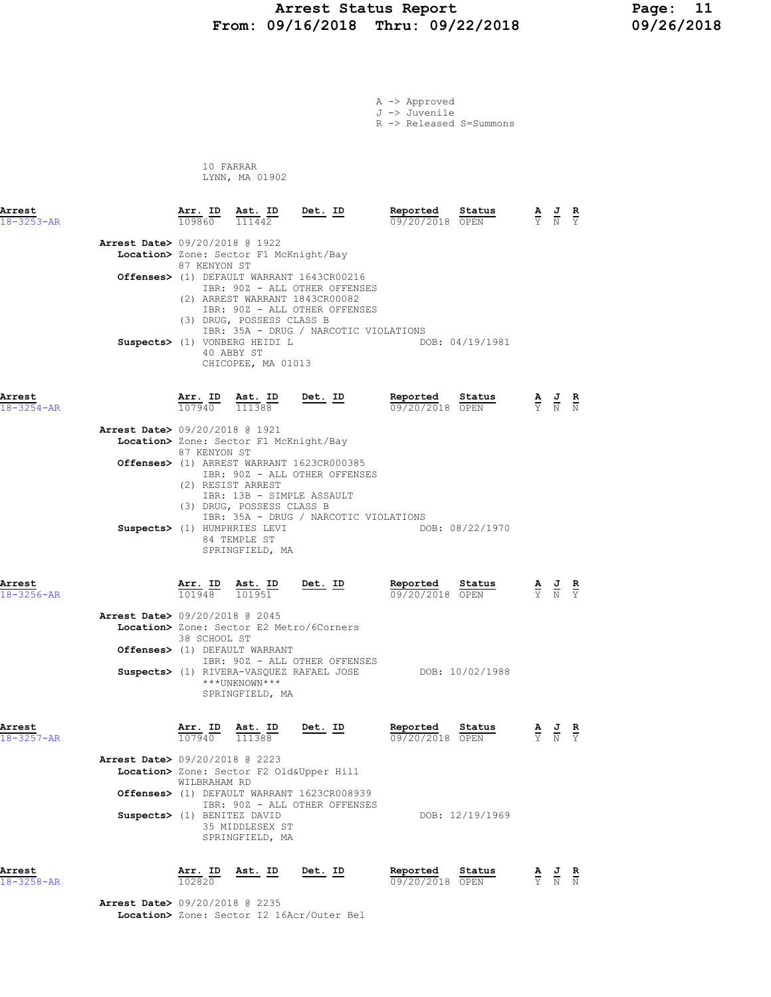## Arrest Status Report Page: 11 From: 09/16/2018 Thru: 09/22/2018

|                            |                                          |                              |                                                                              |                                                                                                                                               | A -> Approved<br>J -> Juvenile<br>R -> Released S=Summons |                 |                                                                                                 |  |
|----------------------------|------------------------------------------|------------------------------|------------------------------------------------------------------------------|-----------------------------------------------------------------------------------------------------------------------------------------------|-----------------------------------------------------------|-----------------|-------------------------------------------------------------------------------------------------|--|
|                            |                                          |                              | 10 FARRAR<br>LYNN, MA 01902                                                  |                                                                                                                                               |                                                           |                 |                                                                                                 |  |
| Arrest<br>$18 - 3253 - AR$ |                                          |                              | $\frac{\texttt{Arr. ID}}{109860}$ $\frac{\texttt{ Ast. ID}}{111442}$ Det. ID |                                                                                                                                               | Reported Status<br>09/20/2018 OPEN                        |                 | $\frac{\mathbf{A}}{\mathbf{Y}}$ $\frac{\mathbf{J}}{\mathbf{N}}$ $\frac{\mathbf{R}}{\mathbf{Y}}$ |  |
|                            | Arrest Date> 09/20/2018 @ 1922           | 87 KENYON ST                 | Location> Zone: Sector F1 McKnight/Bay                                       |                                                                                                                                               |                                                           |                 |                                                                                                 |  |
|                            |                                          |                              | (3) DRUG, POSSESS CLASS B                                                    | Offenses> (1) DEFAULT WARRANT 1643CR00216<br>IBR: 90Z - ALL OTHER OFFENSES<br>(2) ARREST WARRANT 1843CR00082<br>IBR: 90Z - ALL OTHER OFFENSES |                                                           |                 |                                                                                                 |  |
|                            |                                          |                              | Suspects> (1) VONBERG HEIDI L<br>40 ABBY ST<br>CHICOPEE, MA 01013            | IBR: 35A - DRUG / NARCOTIC VIOLATIONS                                                                                                         |                                                           | DOB: 04/19/1981 |                                                                                                 |  |
| Arrest<br>$18 - 3254 - AR$ |                                          | $\frac{\text{Arr.}}{107940}$ | <u>Ast. ID</u><br>111388                                                     | Det. ID                                                                                                                                       | Reported<br>09/20/2018 OPEN                               | Status          | $\frac{\mathbf{A}}{\mathbf{Y}}$ $\frac{\mathbf{J}}{\mathbf{N}}$ $\frac{\mathbf{R}}{\mathbf{N}}$ |  |
|                            | <b>Arrest Date&gt;</b> 09/20/2018 @ 1921 | 87 KENYON ST                 | Location> Zone: Sector F1 McKnight/Bay                                       |                                                                                                                                               |                                                           |                 |                                                                                                 |  |
|                            |                                          |                              | (2) RESIST ARREST<br>(3) DRUG, POSSESS CLASS B                               | Offenses> (1) ARREST WARRANT 1623CR000385<br>IBR: 90Z - ALL OTHER OFFENSES<br>IBR: 13B - SIMPLE ASSAULT                                       |                                                           |                 |                                                                                                 |  |
|                            |                                          |                              | Suspects> (1) HUMPHRIES LEVI<br>84 TEMPLE ST<br>SPRINGFIELD, MA              | IBR: 35A - DRUG / NARCOTIC VIOLATIONS                                                                                                         |                                                           | DOB: 08/22/1970 |                                                                                                 |  |
| Arrest<br>$18 - 3256 - AR$ |                                          | 101948                       | Arr. ID Ast. ID<br>101951                                                    | $Det. ID$                                                                                                                                     | Reported<br>09/20/2018 OPEN                               | Status          | $\frac{\mathbf{A}}{\mathbf{Y}}$ $\frac{\mathbf{J}}{\mathbf{N}}$ $\frac{\mathbf{R}}{\mathbf{Y}}$ |  |
|                            | <b>Arrest Date&gt; 09/20/2018 @ 2045</b> | 38 SCHOOL ST                 | Offenses> (1) DEFAULT WARRANT                                                | Location> Zone: Sector E2 Metro/6Corners                                                                                                      |                                                           |                 |                                                                                                 |  |
|                            |                                          |                              | ***UNKNOWN***<br>SPRINGFIELD, MA                                             | IBR: 90Z - ALL OTHER OFFENSES<br>Suspects> (1) RIVERA-VASQUEZ RAFAEL JOSE                                                                     |                                                           | DOB: 10/02/1988 |                                                                                                 |  |
| Arrest<br>$18 - 3257 - AR$ |                                          | 107940                       | Arr. ID Ast. ID<br>111388                                                    | <u>Det. ID</u>                                                                                                                                | Reported<br>09/20/2018 OPEN                               | <u>Status</u>   | $\frac{\mathbf{A}}{\mathbf{Y}}$ $\frac{\mathbf{J}}{\mathbf{N}}$ $\frac{\mathbf{R}}{\mathbf{Y}}$ |  |
|                            | Arrest Date> 09/20/2018 @ 2223           | WILBRAHAM RD                 |                                                                              | Location> Zone: Sector F2 Old&Upper Hill<br>Offenses> (1) DEFAULT WARRANT 1623CR008939                                                        |                                                           |                 |                                                                                                 |  |
|                            | Suspects> (1) BENITEZ DAVID              |                              | 35 MIDDLESEX ST<br>SPRINGFIELD, MA                                           | IBR: 90Z - ALL OTHER OFFENSES                                                                                                                 |                                                           | DOB: 12/19/1969 |                                                                                                 |  |
|                            |                                          |                              |                                                                              |                                                                                                                                               |                                                           |                 |                                                                                                 |  |

Arrest Arr. ID Ast. ID Det. ID Reported Status A J R 18-3258-AR 102820 09/20/2018 OPEN Y N N

> Arrest Date> 09/20/2018 @ 2235 Location> Zone: Sector I2 16Acr/Outer Bel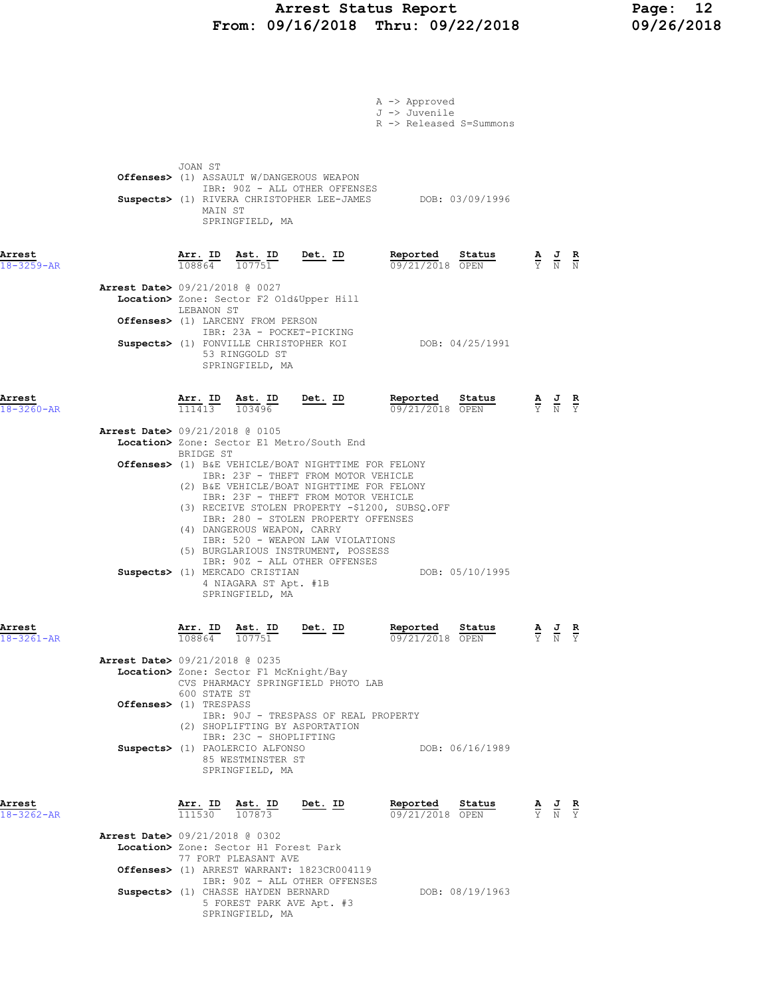### Arrest Status Report Page: 12 From: 09/16/2018 Thru: 09/22/2018 09/26/2018

|                            | A -> Approved<br>J -> Juvenile<br>R -> Released S=Summons                                                                                                                                                                                                                                                                                                                                                                                                    |                                                                                                 |  |
|----------------------------|--------------------------------------------------------------------------------------------------------------------------------------------------------------------------------------------------------------------------------------------------------------------------------------------------------------------------------------------------------------------------------------------------------------------------------------------------------------|-------------------------------------------------------------------------------------------------|--|
|                            | JOAN ST<br>Offenses> (1) ASSAULT W/DANGEROUS WEAPON<br>IBR: 90Z - ALL OTHER OFFENSES<br>Suspects> (1) RIVERA CHRISTOPHER LEE-JAMES DOB: 03/09/1996<br>MAIN ST<br>SPRINGFIELD, MA                                                                                                                                                                                                                                                                             |                                                                                                 |  |
| Arrest<br>$18 - 3259 - AR$ | <u>Det. ID</u><br>Reported<br><u>Arr.</u> ID<br>$\frac{\text{Ast. ID}}{107751}$<br>Status<br>108864<br>09/21/2018 OPEN<br><b>Arrest Date&gt;</b> 09/21/2018 @ 0027<br>Location> Zone: Sector F2 Old&Upper Hill<br>LEBANON ST<br>Offenses> (1) LARCENY FROM PERSON                                                                                                                                                                                            | $\frac{\mathbf{A}}{\mathbf{Y}}$ $\frac{\mathbf{J}}{\mathbf{N}}$ $\frac{\mathbf{R}}{\mathbf{N}}$ |  |
|                            | IBR: 23A - POCKET-PICKING<br>Suspects> (1) FONVILLE CHRISTOPHER KOI<br>DOB: 04/25/1991<br>53 RINGGOLD ST<br>SPRINGFIELD, MA                                                                                                                                                                                                                                                                                                                                  |                                                                                                 |  |
| Arrest<br>$18 - 3260 - AR$ | $\underbrace{\text{Ast.}}$ ID Det. ID<br>$\frac{\texttt{Arr.}}{111413}$<br>103496<br><b>Arrest Date&gt;</b> 09/21/2018 @ 0105<br>Location> Zone: Sector E1 Metro/South End<br>BRIDGE ST<br><b>Offenses&gt;</b> (1) B&E VEHICLE/BOAT NIGHTTIME FOR FELONY                                                                                                                                                                                                     | $\frac{\mathbf{A}}{\mathbf{Y}}$ $\frac{\mathbf{J}}{\mathbf{N}}$ $\frac{\mathbf{R}}{\mathbf{Y}}$ |  |
|                            | IBR: 23F - THEFT FROM MOTOR VEHICLE<br>(2) B&E VEHICLE/BOAT NIGHTTIME FOR FELONY<br>IBR: 23F - THEFT FROM MOTOR VEHICLE<br>(3) RECEIVE STOLEN PROPERTY -\$1200, SUBSQ.OFF<br>IBR: 280 - STOLEN PROPERTY OFFENSES<br>(4) DANGEROUS WEAPON, CARRY<br>IBR: 520 - WEAPON LAW VIOLATIONS<br>(5) BURGLARIOUS INSTRUMENT, POSSESS<br>IBR: 90Z - ALL OTHER OFFENSES<br>DOB: 05/10/1995<br>Suspects> (1) MERCADO CRISTIAN<br>4 NIAGARA ST Apt. #1B<br>SPRINGFIELD, MA |                                                                                                 |  |
| Arrest<br>18-3261-AR       | Reported<br>Arr. ID<br>Ast. ID<br>Det. ID<br>Status<br>108864 107751<br>09/21/2018 OPEN<br>Arrest Date> 09/21/2018 @ 0235<br>Location> Zone: Sector F1 McKnight/Bay<br>CVS PHARMACY SPRINGFIELD PHOTO LAB                                                                                                                                                                                                                                                    | $\frac{\mathbf{A}}{\mathbf{Y}}$ $\frac{\mathbf{J}}{\mathbf{N}}$ $\frac{\mathbf{R}}{\mathbf{Y}}$ |  |
|                            | 600 STATE ST<br>Offenses> (1) TRESPASS<br>IBR: 90J - TRESPASS OF REAL PROPERTY<br>(2) SHOPLIFTING BY ASPORTATION<br>IBR: 23C - SHOPLIFTING<br>Suspects> (1) PAOLERCIO ALFONSO<br>DOB: 06/16/1989<br>85 WESTMINSTER ST<br>SPRINGFIELD, MA                                                                                                                                                                                                                     |                                                                                                 |  |
| Arrest<br>$18 - 3262 - AR$ | Arr. ID Ast. ID<br>$Det. ID$<br>Reported Status<br>$\overline{111530}$ $\overline{107873}$<br>09/21/2018 OPEN                                                                                                                                                                                                                                                                                                                                                | $\frac{\mathbf{A}}{\mathbf{Y}}$ $\frac{\mathbf{J}}{\mathbf{N}}$ $\frac{\mathbf{R}}{\mathbf{Y}}$ |  |
|                            | <b>Arrest Date&gt; 09/21/2018 @ 0302</b><br>Location> Zone: Sector H1 Forest Park<br>77 FORT PLEASANT AVE<br>Offenses> (1) ARREST WARRANT: 1823CR004119<br>IBR: 90Z - ALL OTHER OFFENSES<br>Suspects> (1) CHASSE HAYDEN BERNARD<br>DOB: 08/19/1963<br>5 FOREST PARK AVE Apt. #3<br>SPRINGFIELD, MA                                                                                                                                                           |                                                                                                 |  |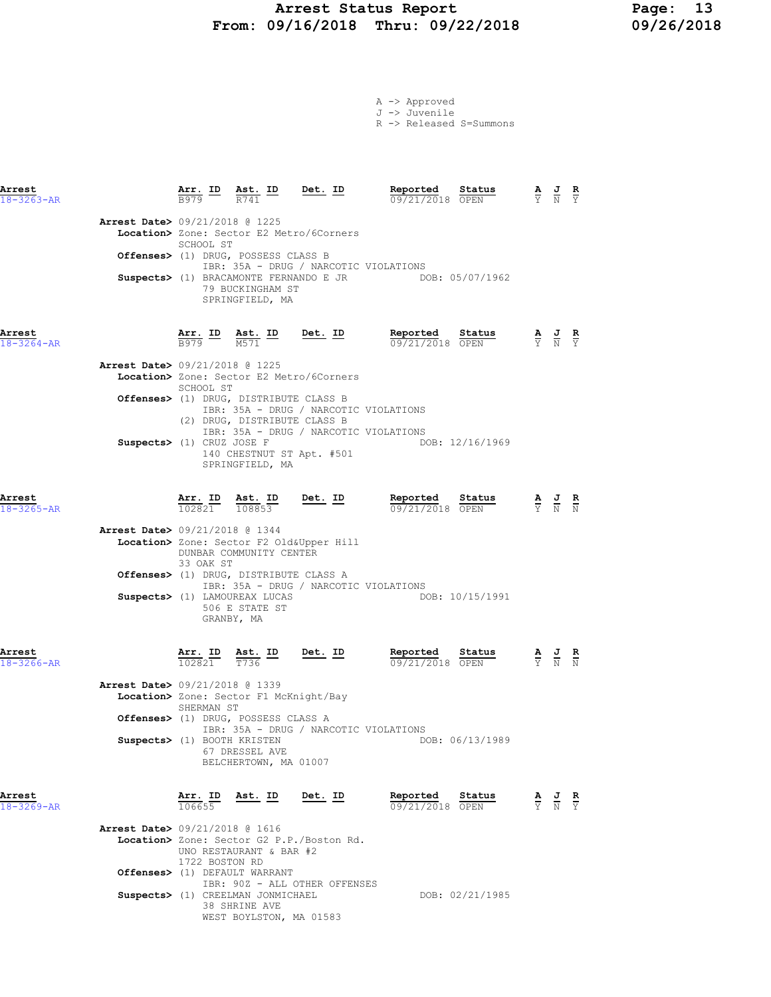#### Arrest Status Report 13<br>19/16/2018 Thru: 09/22/2018 199/26/2018 From: 09/16/2018 Thru: 09/22/2018

A -> Approved J -> Juvenile

R -> Released S=Summons

| Arrest<br>$18 - 3263 - AR$ |                                          | Arr. ID<br>B979                   | $\frac{\text{Ast. ID}}{\text{max}}$<br>R741                                               | Det. ID                                                                        | Reported<br>09/21/2018 OPEN                            | Status          | $\frac{\mathbf{A}}{\mathbf{Y}}$ $\frac{\mathbf{J}}{\mathbf{N}}$ $\frac{\mathbf{R}}{\mathbf{Y}}$ |                               |
|----------------------------|------------------------------------------|-----------------------------------|-------------------------------------------------------------------------------------------|--------------------------------------------------------------------------------|--------------------------------------------------------|-----------------|-------------------------------------------------------------------------------------------------|-------------------------------|
|                            | Arrest Date> 09/21/2018 @ 1225           | SCHOOL ST                         |                                                                                           | Location> Zone: Sector E2 Metro/6Corners                                       |                                                        |                 |                                                                                                 |                               |
|                            |                                          |                                   | Offenses> (1) DRUG, POSSESS CLASS B<br>79 BUCKINGHAM ST                                   | IBR: 35A - DRUG / NARCOTIC VIOLATIONS                                          | Suspects> (1) BRACAMONTE FERNANDO E JR DOB: 05/07/1962 |                 |                                                                                                 |                               |
|                            |                                          |                                   | SPRINGFIELD, MA                                                                           |                                                                                |                                                        |                 |                                                                                                 |                               |
| Arrest<br>$18 - 3264 - AR$ |                                          | Arr. ID<br>B979                   | $\frac{\text{Ast. ID}}{\text{Cet al}}$<br>M571                                            | $Det. ID$                                                                      | Reported<br>09/21/2018 OPEN                            | Status          | $\frac{\mathbf{A}}{\mathbf{Y}}$ $\frac{\mathbf{J}}{\mathbf{N}}$ $\frac{\mathbf{R}}{\mathbf{Y}}$ |                               |
|                            | <b>Arrest Date&gt;</b> 09/21/2018 @ 1225 | SCHOOL ST                         |                                                                                           | Location> Zone: Sector E2 Metro/6Corners                                       |                                                        |                 |                                                                                                 |                               |
|                            |                                          |                                   | Offenses> (1) DRUG, DISTRIBUTE CLASS B<br>(2) DRUG, DISTRIBUTE CLASS B                    | IBR: 35A - DRUG / NARCOTIC VIOLATIONS<br>IBR: 35A - DRUG / NARCOTIC VIOLATIONS |                                                        |                 |                                                                                                 |                               |
|                            | Suspects> (1) CRUZ JOSE F                |                                   | 140 CHESTNUT ST Apt. #501<br>SPRINGFIELD, MA                                              |                                                                                |                                                        | DOB: 12/16/1969 |                                                                                                 |                               |
| Arrest<br>$18 - 3265 - AR$ |                                          | $\frac{\texttt{Arr. ID}}{102821}$ | $\frac{\texttt{Ast.}}{108853}$                                                            | Det. ID                                                                        | Reported<br>09/21/2018 OPEN                            | Status          | $\frac{\mathbf{A}}{\mathbf{Y}}$ $\frac{\mathbf{J}}{\mathbf{N}}$                                 | $\frac{\mathbf{R}}{\rm N}$    |
|                            | <b>Arrest Date&gt;</b> 09/21/2018 @ 1344 | 33 OAK ST                         | DUNBAR COMMUNITY CENTER                                                                   | Location> Zone: Sector F2 Old&Upper Hill                                       |                                                        |                 |                                                                                                 |                               |
|                            |                                          |                                   | Offenses> (1) DRUG, DISTRIBUTE CLASS A<br>Suspects> (1) LAMOUREAX LUCAS<br>506 E STATE ST | IBR: 35A - DRUG / NARCOTIC VIOLATIONS                                          |                                                        | DOB: 10/15/1991 |                                                                                                 |                               |
| Arrest<br>$18 - 3266 - AR$ |                                          | Arr. ID<br>102821                 | GRANBY, MA<br>Ast. ID<br>T736                                                             | Det. ID                                                                        | Reported<br>09/21/2018 OPEN                            | Status          | $\frac{\mathbf{A}}{\mathbf{Y}}$ $\frac{\mathbf{J}}{\mathbf{N}}$                                 | $\frac{R}{N}$                 |
|                            | <b>Arrest Date&gt;</b> 09/21/2018 @ 1339 | SHERMAN ST                        | Location> Zone: Sector F1 McKnight/Bay                                                    |                                                                                |                                                        |                 |                                                                                                 |                               |
|                            | Suspects> (1) BOOTH KRISTEN              |                                   | Offenses> (1) DRUG, POSSESS CLASS A                                                       | IBR: 35A - DRUG / NARCOTIC VIOLATIONS                                          |                                                        | DOB: 06/13/1989 |                                                                                                 |                               |
|                            |                                          |                                   | 67 DRESSEL AVE<br>BELCHERTOWN, MA 01007                                                   |                                                                                |                                                        |                 |                                                                                                 |                               |
| Arrest<br>$18 - 3269 - AR$ |                                          | Arr. ID<br>106655                 | Ast. ID                                                                                   | Det. ID                                                                        | Reported<br>09/21/2018 OPEN                            | Status          | $\frac{\mathbf{A}}{\mathrm{Y}}$ $\frac{\mathbf{J}}{\mathrm{N}}$                                 | $\frac{\mathbf{R}}{\Upsilon}$ |
|                            | <b>Arrest Date&gt;</b> 09/21/2018 @ 1616 | 1722 BOSTON RD                    | UNO RESTAURANT & BAR #2                                                                   | Location> Zone: Sector G2 P.P./Boston Rd.                                      |                                                        |                 |                                                                                                 |                               |
|                            |                                          |                                   | Offenses> (1) DEFAULT WARRANT                                                             |                                                                                |                                                        |                 |                                                                                                 |                               |

IBR: 90Z - ALL OTHER OFFENSES

WEST BOYLSTON, MA 01583

Suspects> (1) CREELMAN JONMICHAEL DOB: 02/21/1985 38 SHRINE AVE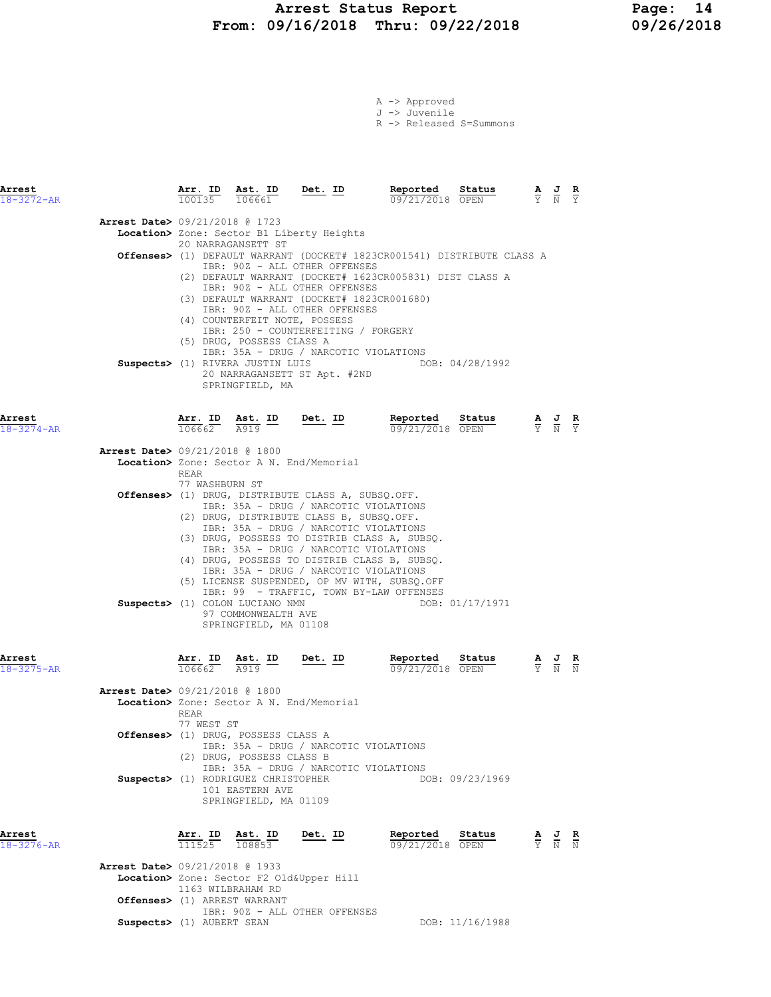# Arrest Status Report Page: 14<br>19/16/2018 Thru: 09/22/2018 09/26/2018 From: 09/16/2018 Thru: 09/22/2018

|  | $A \rightarrow$ Approved |                         |
|--|--------------------------|-------------------------|
|  | J -> Juvenile            |                         |
|  |                          | R -> Released S=Summons |

| Arrest<br>18-3272-AR       |                                                                          | $\frac{\texttt{Arr.}}{100135}$ | $rac{\text{Ast. ID}}{106661}$ Det. ID                                            |                                                                                                                                                                                                                                                                    | Reported<br>09/21/2018 OPEN                                                                                                                                                             | Status          | $\frac{\mathbf{A}}{\mathbf{Y}}$ $\frac{\mathbf{J}}{\mathbf{N}}$ |                                                                                                 | $rac{\mathbf{R}}{\mathbf{Y}}$ |
|----------------------------|--------------------------------------------------------------------------|--------------------------------|----------------------------------------------------------------------------------|--------------------------------------------------------------------------------------------------------------------------------------------------------------------------------------------------------------------------------------------------------------------|-----------------------------------------------------------------------------------------------------------------------------------------------------------------------------------------|-----------------|-----------------------------------------------------------------|-------------------------------------------------------------------------------------------------|-------------------------------|
|                            | Arrest Date> 09/21/2018 @ 1723                                           |                                | 20 NARRAGANSETT ST<br>(4) COUNTERFEIT NOTE, POSSESS                              | Location> Zone: Sector B1 Liberty Heights<br>IBR: 90Z - ALL OTHER OFFENSES<br>IBR: 90Z - ALL OTHER OFFENSES<br>(3) DEFAULT WARRANT (DOCKET# 1823CR001680)<br>IBR: 90Z - ALL OTHER OFFENSES                                                                         | Offenses> (1) DEFAULT WARRANT (DOCKET# 1823CR001541) DISTRIBUTE CLASS A<br>(2) DEFAULT WARRANT (DOCKET# 1623CR005831) DIST CLASS A                                                      |                 |                                                                 |                                                                                                 |                               |
|                            |                                                                          |                                | (5) DRUG, POSSESS CLASS A<br>Suspects> (1) RIVERA JUSTIN LUIS<br>SPRINGFIELD, MA | IBR: 250 - COUNTERFEITING / FORGERY<br>IBR: 35A - DRUG / NARCOTIC VIOLATIONS<br>20 NARRAGANSETT ST Apt. #2ND                                                                                                                                                       |                                                                                                                                                                                         | DOB: 04/28/1992 |                                                                 |                                                                                                 |                               |
| Arrest<br>18-3274-AR       |                                                                          | Arr. ID<br>106662              | $\frac{\texttt{Ast.}}{\text{A919}}$ ID                                           | <u>Det. ID</u>                                                                                                                                                                                                                                                     | Reported Status<br>09/21/2018 OPEN                                                                                                                                                      |                 | $\frac{A}{Y}$ $\frac{C}{N}$                                     |                                                                                                 |                               |
|                            | Arrest Date> 09/21/2018 @ 1800                                           | REAR<br>77 WASHBURN ST         | Location> Zone: Sector A N. End/Memorial                                         |                                                                                                                                                                                                                                                                    |                                                                                                                                                                                         |                 |                                                                 |                                                                                                 |                               |
|                            |                                                                          |                                | Suspects> (1) COLON LUCIANO NMN<br>97 COMMONWEALTH AVE<br>SPRINGFIELD, MA 01108  | Offenses> (1) DRUG, DISTRIBUTE CLASS A, SUBSQ.OFF.<br>IBR: 35A - DRUG / NARCOTIC VIOLATIONS<br>(2) DRUG, DISTRIBUTE CLASS B, SUBSQ.OFF.<br>IBR: 35A - DRUG / NARCOTIC VIOLATIONS<br>IBR: 35A - DRUG / NARCOTIC VIOLATIONS<br>IBR: 35A - DRUG / NARCOTIC VIOLATIONS | (3) DRUG, POSSESS TO DISTRIB CLASS A, SUBSO.<br>(4) DRUG, POSSESS TO DISTRIB CLASS B, SUBSQ.<br>(5) LICENSE SUSPENDED, OP MV WITH, SUBSQ.OFF<br>IBR: 99 - TRAFFIC, TOWN BY-LAW OFFENSES | DOB: 01/17/1971 |                                                                 |                                                                                                 |                               |
| Arrest<br>18-3275-AR       |                                                                          | Arr. ID<br>106662              | Ast. ID<br>$\frac{\text{Ast.}}{\text{A919}}$<br>A919                             | <u>Det. ID</u>                                                                                                                                                                                                                                                     | Reported<br>09/21/2018 OPEN                                                                                                                                                             | Status          |                                                                 |                                                                                                 |                               |
|                            | <b>Arrest Date&gt;</b> 09/21/2018 @ 1800                                 | REAR<br>77 WEST ST             | Location> Zone: Sector A N. End/Memorial                                         |                                                                                                                                                                                                                                                                    |                                                                                                                                                                                         |                 |                                                                 |                                                                                                 |                               |
|                            |                                                                          |                                | Offenses> (1) DRUG, POSSESS CLASS A<br>(2) DRUG, POSSESS CLASS B                 | IBR: 35A - DRUG / NARCOTIC VIOLATIONS<br>IBR: 35A - DRUG / NARCOTIC VIOLATIONS                                                                                                                                                                                     |                                                                                                                                                                                         |                 |                                                                 |                                                                                                 |                               |
|                            |                                                                          |                                | Suspects> (1) RODRIGUEZ CHRISTOPHER<br>101 EASTERN AVE<br>SPRINGFIELD, MA 01109  |                                                                                                                                                                                                                                                                    |                                                                                                                                                                                         | DOB: 09/23/1969 |                                                                 |                                                                                                 |                               |
| Arrest<br>$18 - 3276 - AR$ |                                                                          | 111525 108853                  | Arr. ID Ast. ID                                                                  | Det. ID                                                                                                                                                                                                                                                            | Reported<br>09/21/2018 OPEN                                                                                                                                                             | Status          |                                                                 | $\frac{\mathbf{A}}{\mathbf{Y}}$ $\frac{\mathbf{J}}{\mathbf{N}}$ $\frac{\mathbf{R}}{\mathbf{N}}$ |                               |
|                            | <b>Arrest Date&gt; 09/21/2018 @ 1933</b><br>Offenses> (1) ARREST WARRANT | 1163 WILBRAHAM RD              | Location> Zone: Sector F2 Old&Upper Hill                                         |                                                                                                                                                                                                                                                                    |                                                                                                                                                                                         |                 |                                                                 |                                                                                                 |                               |
|                            |                                                                          |                                |                                                                                  | IBR: 90Z - ALL OTHER OFFENSES                                                                                                                                                                                                                                      |                                                                                                                                                                                         |                 |                                                                 |                                                                                                 |                               |

 $\texttt{Suppects>}$  (1) AUBERT SEAN DOB: 11/16/1988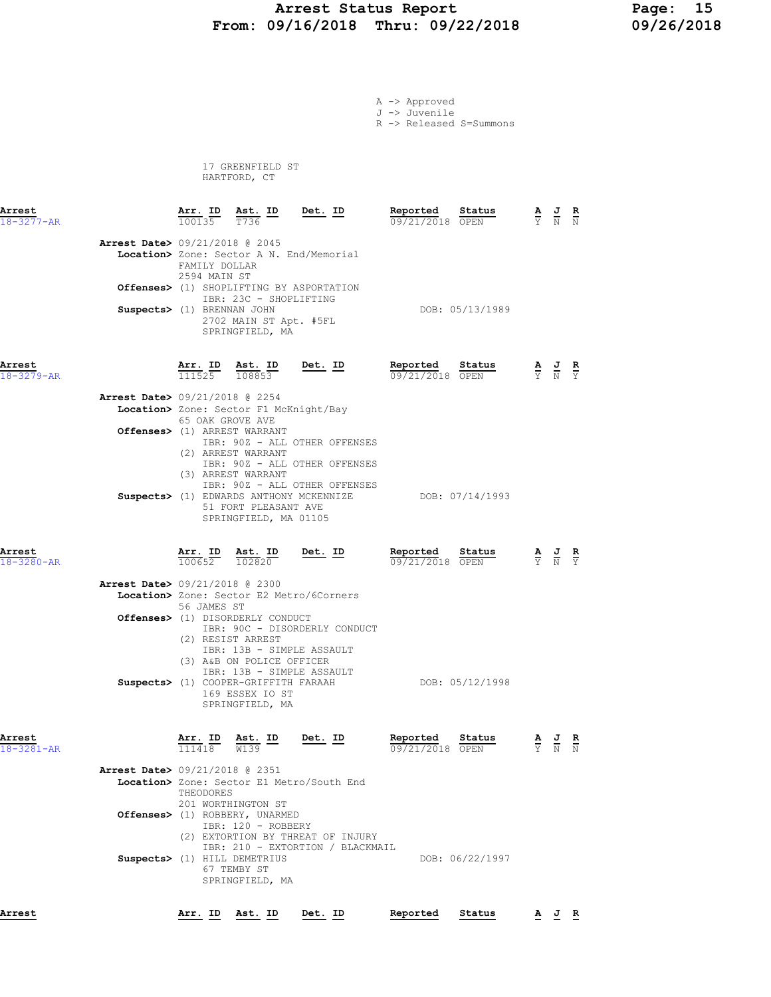### Arrest Status Report Page: 15 From: 09/16/2018 Thru: 09/22/2018 09/26/2018

A -> Approved

J -> Juvenile

R -> Released S=Summons

 17 GREENFIELD ST HARTFORD, CT

| Arrest<br>$18 - 3277 - AR$ |                                          | Arr. ID<br>100135                    | $\frac{\text{Ast.}}{\text{max}}$<br>T736                                                                        | <u>Det. ID</u>                                                 | Reported<br>09/21/2018 OPEN | Status          | A                                                                                               | $\frac{J}{N}$                                                                                         | $\frac{R}{N}$ |
|----------------------------|------------------------------------------|--------------------------------------|-----------------------------------------------------------------------------------------------------------------|----------------------------------------------------------------|-----------------------------|-----------------|-------------------------------------------------------------------------------------------------|-------------------------------------------------------------------------------------------------------|---------------|
|                            | <b>Arrest Date&gt; 09/21/2018 @ 2045</b> | FAMILY DOLLAR<br>2594 MAIN ST        |                                                                                                                 | Location> Zone: Sector A N. End/Memorial                       |                             |                 |                                                                                                 |                                                                                                       |               |
|                            |                                          |                                      | IBR: 23C - SHOPLIFTING                                                                                          | Offenses> (1) SHOPLIFTING BY ASPORTATION                       |                             |                 |                                                                                                 |                                                                                                       |               |
|                            | Suspects> (1) BRENNAN JOHN               |                                      | 2702 MAIN ST Apt. #5FL<br>SPRINGFIELD, MA                                                                       |                                                                |                             | DOB: 05/13/1989 |                                                                                                 |                                                                                                       |               |
| Arrest<br>$18 - 3279 - AR$ |                                          |                                      | $\frac{\text{Arr. ID}}{111525}$ $\frac{\text{Ast. ID}}{108853}$ $\frac{\text{Det. ID}}{20853}$                  |                                                                | Reported<br>09/21/2018 OPEN | Status          | $\frac{\mathbf{A}}{\mathbf{Y}}$ $\frac{\mathbf{J}}{\mathbf{N}}$ $\frac{\mathbf{R}}{\mathbf{Y}}$ |                                                                                                       |               |
|                            | <b>Arrest Date&gt;</b> 09/21/2018 @ 2254 |                                      |                                                                                                                 |                                                                |                             |                 |                                                                                                 |                                                                                                       |               |
|                            |                                          | 65 OAK GROVE AVE                     | Location> Zone: Sector F1 McKnight/Bay                                                                          |                                                                |                             |                 |                                                                                                 |                                                                                                       |               |
|                            |                                          |                                      | Offenses> (1) ARREST WARRANT<br>(2) ARREST WARRANT<br>(3) ARREST WARRANT                                        | IBR: 90Z - ALL OTHER OFFENSES<br>IBR: 90Z - ALL OTHER OFFENSES |                             |                 |                                                                                                 |                                                                                                       |               |
|                            |                                          |                                      | Suspects> (1) EDWARDS ANTHONY MCKENNIZE<br>51 FORT PLEASANT AVE<br>SPRINGFIELD, MA 01105                        | IBR: 90Z - ALL OTHER OFFENSES                                  | DOB: 07/14/1993             |                 |                                                                                                 |                                                                                                       |               |
| Arrest<br>18-3280-AR       |                                          | Arr. ID<br>100652                    | Ast. ID<br>102820                                                                                               | Det. ID                                                        | Reported<br>09/21/2018 OPEN | Status          |                                                                                                 | $\frac{\mathbf{A}}{\overline{Y}}$ $\frac{\mathbf{J}}{\overline{N}}$ $\frac{\mathbf{R}}{\overline{Y}}$ |               |
|                            | <b>Arrest Date&gt; 09/21/2018 @ 2300</b> | 56 JAMES ST                          |                                                                                                                 | Location> Zone: Sector E2 Metro/6Corners                       |                             |                 |                                                                                                 |                                                                                                       |               |
|                            |                                          |                                      | Offenses> (1) DISORDERLY CONDUCT<br>(2) RESIST ARREST<br>IBR: 13B - SIMPLE ASSAULT<br>(3) A&B ON POLICE OFFICER | IBR: 90C - DISORDERLY CONDUCT                                  |                             |                 |                                                                                                 |                                                                                                       |               |
|                            |                                          |                                      | IBR: 13B - SIMPLE ASSAULT<br>Suspects> (1) COOPER-GRIFFITH FARAAH<br>169 ESSEX IO ST<br>SPRINGFIELD, MA         |                                                                |                             | DOB: 05/12/1998 |                                                                                                 |                                                                                                       |               |
| Arrest<br>18-3281-AR       |                                          | <u>Arr. ID</u><br>$\frac{111418}{x}$ | $\frac{\text{Ast.}}{\text{M122}}$ $\frac{\text{ID}}{\text{M123}}$<br>W139                                       | Det. ID                                                        | Reported<br>09/21/2018 OPEN | Status          |                                                                                                 |                                                                                                       |               |
|                            | <b>Arrest Date&gt;</b> 09/21/2018 @ 2351 | THEODORES                            |                                                                                                                 | Location> Zone: Sector E1 Metro/South End                      |                             |                 |                                                                                                 |                                                                                                       |               |
|                            |                                          |                                      | 201 WORTHINGTON ST<br>Offenses> (1) ROBBERY, UNARMED<br>IBR: 120 - ROBBERY                                      | (2) EXTORTION BY THREAT OF INJURY                              |                             |                 |                                                                                                 |                                                                                                       |               |
|                            |                                          |                                      | Suspects> (1) HILL DEMETRIUS<br>67 TEMBY ST<br>SPRINGFIELD, MA                                                  | IBR: 210 - EXTORTION / BLACKMAIL                               |                             | DOB: 06/22/1997 |                                                                                                 |                                                                                                       |               |

Arrest Arr. ID Ast. ID Det. ID Reported Status A J R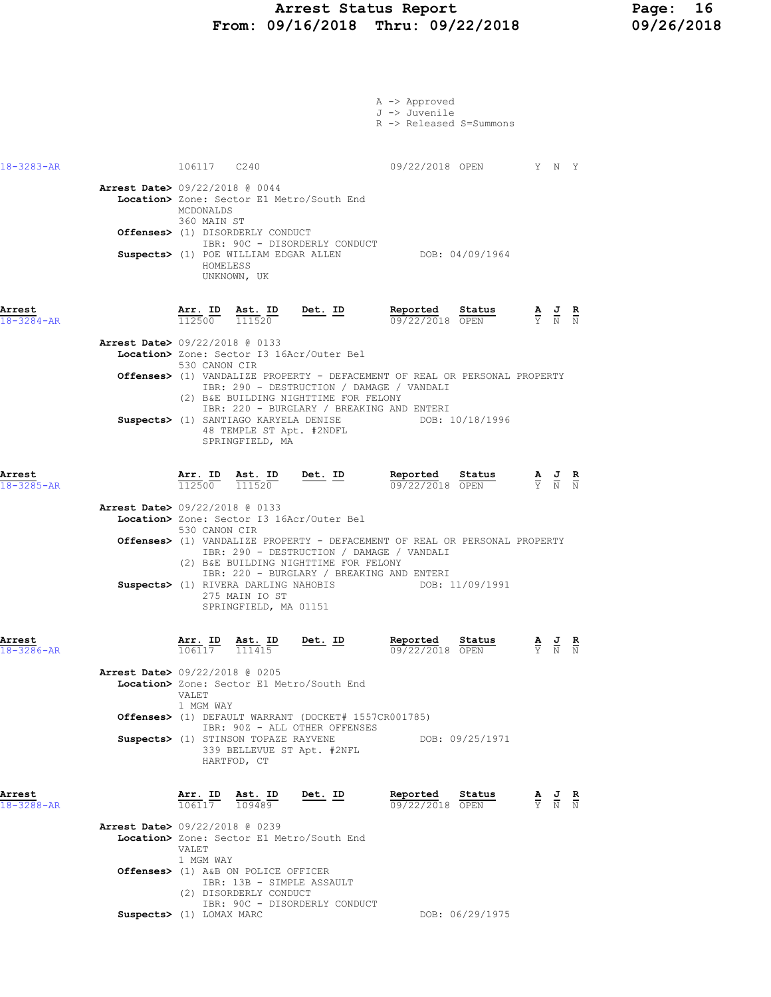|                            |                                          |                                      |                                                               |                                                                                                                                                                                                                                                                 | A -> Approved<br>J -> Juvenile<br>R -> Released S=Summons |                                                                                                                                             |                                                                                                 |                                                                                                 |  |
|----------------------------|------------------------------------------|--------------------------------------|---------------------------------------------------------------|-----------------------------------------------------------------------------------------------------------------------------------------------------------------------------------------------------------------------------------------------------------------|-----------------------------------------------------------|---------------------------------------------------------------------------------------------------------------------------------------------|-------------------------------------------------------------------------------------------------|-------------------------------------------------------------------------------------------------|--|
| $18 - 3283 - AR$           |                                          | 106117 C240                          |                                                               |                                                                                                                                                                                                                                                                 |                                                           | 09/22/2018 OPEN Y N Y                                                                                                                       |                                                                                                 |                                                                                                 |  |
|                            | <b>Arrest Date&gt; 09/22/2018 @ 0044</b> | MCDONALDS<br>360 MAIN ST<br>HOMELESS | <b>Offenses&gt;</b> (1) DISORDERLY CONDUCT                    | Location> Zone: Sector E1 Metro/South End<br>IBR: 90C - DISORDERLY CONDUCT<br>Suspects> (1) POE WILLIAM EDGAR ALLEN                                                                                                                                             |                                                           | DOB: 04/09/1964                                                                                                                             |                                                                                                 |                                                                                                 |  |
|                            |                                          |                                      | UNKNOWN, UK                                                   |                                                                                                                                                                                                                                                                 |                                                           |                                                                                                                                             |                                                                                                 |                                                                                                 |  |
| Arrest<br>$18 - 3284 - AR$ |                                          |                                      |                                                               | $\frac{\texttt{Arr. ID}}{112500}$ $\frac{\texttt{ Ast. ID}}{111520}$ Det. ID                                                                                                                                                                                    | Reported                                                  | <b>Reported</b> Status $\frac{R}{0.9}$ $\frac{S}{22}$ $\frac{S}{20}$ $\frac{S}{20}$ $\frac{S}{N}$ $\frac{S}{N}$ $\frac{S}{N}$ $\frac{S}{N}$ |                                                                                                 |                                                                                                 |  |
|                            | <b>Arrest Date&gt; 09/22/2018 @ 0133</b> | 530 CANON CIR                        |                                                               | Location> Zone: Sector I3 16Acr/Outer Bel<br><b>Offenses&gt;</b> (1) VANDALIZE PROPERTY - DEFACEMENT OF REAL OR PERSONAL PROPERTY                                                                                                                               |                                                           |                                                                                                                                             |                                                                                                 |                                                                                                 |  |
|                            |                                          |                                      | 48 TEMPLE ST Apt. #2NDFL<br>SPRINGFIELD, MA                   | IBR: 290 - DESTRUCTION / DAMAGE / VANDALI<br>(2) B&E BUILDING NIGHTTIME FOR FELONY<br>IBR: 220 - BURGLARY / BREAKING AND ENTERI<br>Suspects> (1) SANTIAGO KARYELA DENISE                                                                                        |                                                           | DOB: 10/18/1996                                                                                                                             |                                                                                                 |                                                                                                 |  |
| Arrest<br>$18 - 3285 - AR$ |                                          |                                      |                                                               | $\frac{\texttt{Arr. ID}}{112500}$ $\frac{\texttt{ Ast. ID}}{111520}$ Det. ID                                                                                                                                                                                    |                                                           | Reported Status<br>09/22/2018 OPEN                                                                                                          |                                                                                                 | $\frac{\mathbf{A}}{\mathbf{Y}}$ $\frac{\mathbf{J}}{\mathbf{N}}$ $\frac{\mathbf{R}}{\mathbf{N}}$ |  |
|                            | <b>Arrest Date&gt; 09/22/2018 @ 0133</b> | 530 CANON CIR                        |                                                               | Location> Zone: Sector I3 16Acr/Outer Bel                                                                                                                                                                                                                       |                                                           |                                                                                                                                             |                                                                                                 |                                                                                                 |  |
|                            |                                          |                                      |                                                               | <b>Offenses&gt;</b> (1) VANDALIZE PROPERTY - DEFACEMENT OF REAL OR PERSONAL PROPERTY<br>IBR: 290 - DESTRUCTION / DAMAGE / VANDALI<br>(2) B&E BUILDING NIGHTTIME FOR FELONY<br>IBR: 220 - BURGLARY / BREAKING AND ENTERI<br>Suspects> (1) RIVERA DARLING NAHOBIS |                                                           | DOB: 11/09/1991                                                                                                                             |                                                                                                 |                                                                                                 |  |
|                            |                                          |                                      | 275 MAIN IO ST<br>SPRINGFIELD, MA 01151                       |                                                                                                                                                                                                                                                                 |                                                           |                                                                                                                                             |                                                                                                 |                                                                                                 |  |
| Arrest                     |                                          | Arr. ID<br>106117                    | <u>Ast. ID</u><br>$\frac{111415}{ }$                          | Det. ID                                                                                                                                                                                                                                                         | Reported<br>09/22/2018                                    | Status<br>OPEN                                                                                                                              |                                                                                                 | $\frac{\mathbf{A}}{\mathbf{Y}}$ $\frac{\mathbf{J}}{\mathbf{N}}$ $\frac{\mathbf{R}}{\mathbf{N}}$ |  |
|                            | <b>Arrest Date&gt; 09/22/2018 @ 0205</b> | VALET.<br>1 MGM WAY                  |                                                               | Location> Zone: Sector E1 Metro/South End                                                                                                                                                                                                                       |                                                           |                                                                                                                                             |                                                                                                 |                                                                                                 |  |
|                            |                                          |                                      |                                                               | <b>Offenses&gt;</b> (1) DEFAULT WARRANT (DOCKET# 1557CR001785)<br>IBR: 90Z - ALL OTHER OFFENSES                                                                                                                                                                 |                                                           |                                                                                                                                             |                                                                                                 |                                                                                                 |  |
|                            |                                          |                                      | Suspects> (1) STINSON TOPAZE RAYVENE<br>HARTFOD, CT           | 339 BELLEVUE ST Apt. #2NFL                                                                                                                                                                                                                                      |                                                           | DOB: 09/25/1971                                                                                                                             |                                                                                                 |                                                                                                 |  |
| Arrest<br>18-3288-AR       |                                          | Arr. ID<br>106117                    | Ast. ID<br>109489                                             | Det. ID                                                                                                                                                                                                                                                         | Reported<br>09/22/2018 OPEN                               | Status                                                                                                                                      | $\frac{\mathbf{A}}{\mathbf{Y}}$ $\frac{\mathbf{J}}{\mathbf{N}}$ $\frac{\mathbf{R}}{\mathbf{N}}$ |                                                                                                 |  |
|                            | <b>Arrest Date&gt; 09/22/2018 @ 0239</b> | VALET                                |                                                               | Location> Zone: Sector E1 Metro/South End                                                                                                                                                                                                                       |                                                           |                                                                                                                                             |                                                                                                 |                                                                                                 |  |
|                            |                                          | 1 MGM WAY                            | Offenses> (1) A&B ON POLICE OFFICER<br>(2) DISORDERLY CONDUCT | IBR: 13B - SIMPLE ASSAULT<br>IBR: 90C - DISORDERLY CONDUCT                                                                                                                                                                                                      |                                                           |                                                                                                                                             |                                                                                                 |                                                                                                 |  |
|                            |                                          | Suspects> (1) LOMAX MARC             |                                                               |                                                                                                                                                                                                                                                                 |                                                           | DOB: 06/29/1975                                                                                                                             |                                                                                                 |                                                                                                 |  |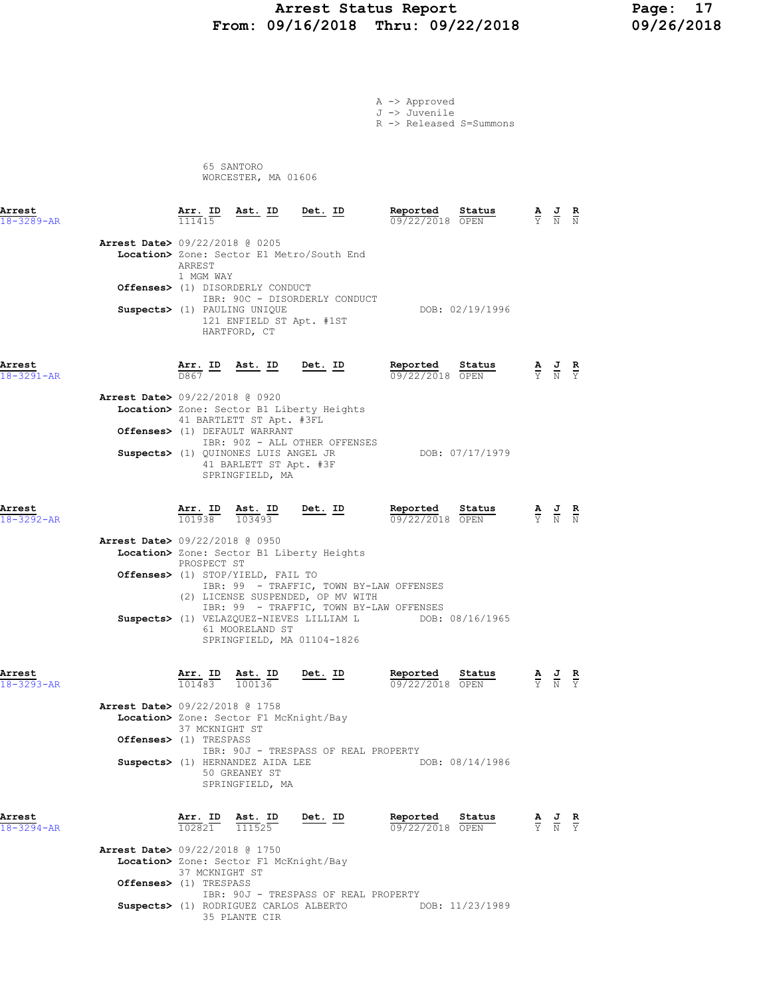#### Arrest Status Report 17<br>19/16/2018 Thru: 09/22/2018 199/26/2018 From: 09/16/2018 Thru: 09/22/2018

A -> Approved J -> Juvenile

R -> Released S=Summons

 65 SANTORO WORCESTER, MA 01606

| Arrest<br>$18 - 3289 - AR$ | Arr. ID<br>111415                                                                                    | Ast. ID Det. ID                                                                                                                                                         |                                                                                                                                                                                     | Reported Status<br>09/22/2018 OPEN |                                                                                             | $\frac{\mathbf{A}}{\overline{Y}}$ $\frac{\mathbf{J}}{\overline{N}}$ $\frac{\mathbf{R}}{\overline{N}}$ |  |
|----------------------------|------------------------------------------------------------------------------------------------------|-------------------------------------------------------------------------------------------------------------------------------------------------------------------------|-------------------------------------------------------------------------------------------------------------------------------------------------------------------------------------|------------------------------------|---------------------------------------------------------------------------------------------|-------------------------------------------------------------------------------------------------------|--|
|                            | Arrest Date> 09/22/2018 @ 0205<br>ARREST<br>1 MGM WAY<br><b>Offenses&gt;</b> (1) DISORDERLY CONDUCT  |                                                                                                                                                                         | Location> Zone: Sector E1 Metro/South End                                                                                                                                           |                                    |                                                                                             |                                                                                                       |  |
|                            | Suspects> (1) PAULING UNIQUE                                                                         | 121 ENFIELD ST Apt. #1ST<br>HARTFORD, CT                                                                                                                                | IBR: 90C - DISORDERLY CONDUCT                                                                                                                                                       |                                    | DOB: 02/19/1996                                                                             |                                                                                                       |  |
| Arrest<br>18-3291-AR       | Arr. ID<br>D867                                                                                      |                                                                                                                                                                         | Ast. ID Det. ID                                                                                                                                                                     | Reported Status                    | $09/22/2018$ OPEN                                                                           | $\frac{\mathbf{A}}{\mathbf{Y}}$ $\frac{\mathbf{J}}{\mathbf{N}}$ $\frac{\mathbf{R}}{\mathbf{Y}}$       |  |
|                            | <b>Arrest Date&gt; 09/22/2018 @ 0920</b><br>Offenses> (1) DEFAULT WARRANT                            | 41 BARTLETT ST Apt. #3FL                                                                                                                                                | Location> Zone: Sector B1 Liberty Heights                                                                                                                                           |                                    |                                                                                             |                                                                                                       |  |
|                            | Suspects> (1) QUINONES LUIS ANGEL JR                                                                 | 41 BARLETT ST Apt. #3F<br>SPRINGFIELD, MA                                                                                                                               | IBR: 90Z - ALL OTHER OFFENSES                                                                                                                                                       |                                    | DOB: 07/17/1979                                                                             |                                                                                                       |  |
| Arrest<br>$18 - 3292 - AR$ | $\frac{\texttt{Arr.}}{101938}$                                                                       | $\frac{\texttt{Ast.}}{103493}$                                                                                                                                          | <u>Det. ID</u>                                                                                                                                                                      | Reported Status<br>09/22/2018 OPEN |                                                                                             | $\frac{\mathbf{A}}{\mathbf{Y}}$ $\frac{\mathbf{J}}{\mathbf{N}}$ $\frac{\mathbf{R}}{\mathbf{N}}$       |  |
|                            | Arrest Date> 09/22/2018 @ 0950<br>PROSPECT ST<br><b>Offenses&gt;</b> (1) STOP/YIELD, FAIL TO         |                                                                                                                                                                         | Location> Zone: Sector B1 Liberty Heights                                                                                                                                           |                                    |                                                                                             |                                                                                                       |  |
|                            |                                                                                                      |                                                                                                                                                                         | IBR: 99 - TRAFFIC, TOWN BY-LAW OFFENSES<br>(2) LICENSE SUSPENDED, OP MV WITH<br>IBR: 99 - TRAFFIC, TOWN BY-LAW OFFENSES<br>Suspects> (1) VELAZQUEZ-NIEVES LILLIAM L DOB: 08/16/1965 |                                    |                                                                                             |                                                                                                       |  |
|                            |                                                                                                      | 61 MOORELAND ST                                                                                                                                                         | SPRINGFIELD, MA 01104-1826                                                                                                                                                          |                                    |                                                                                             |                                                                                                       |  |
| Arrest<br>$18 - 3293 - AR$ | 101483                                                                                               | $\frac{\text{Arr. ID}}{\frac{10000 \text{ }}{1000 \text{ }}}$ $\frac{\text{Est. ID}}{\frac{10000 \text{ }}{1000 \text{ }}}$ $\frac{\text{Det. ID}}{\text{ }}$<br>100136 |                                                                                                                                                                                     | Reported Status                    | <b>Reported Status</b> $\frac{A}{Y}$ <b>J R</b><br>09/22/2018 OPEN $\frac{A}{Y}$ <b>N Y</b> |                                                                                                       |  |
|                            | <b>Arrest Date&gt;</b> 09/22/2018 @ 1758<br>Location> Zone: Sector F1 McKnight/Bay<br>37 MCKNIGHT ST |                                                                                                                                                                         |                                                                                                                                                                                     |                                    |                                                                                             |                                                                                                       |  |
|                            | Offenses> (1) TRESPASS<br>Suspects> (1) HERNANDEZ AIDA LEE                                           | 50 GREANEY ST<br>SPRINGFIELD, MA                                                                                                                                        | IBR: 90J - TRESPASS OF REAL PROPERTY                                                                                                                                                | DOB: 08/14/1986                    |                                                                                             |                                                                                                       |  |
| Arrest<br>$18 - 3294 - AR$ | Arr. ID<br>102821                                                                                    | Ast. ID<br>111525                                                                                                                                                       | Det. ID                                                                                                                                                                             | Reported<br>09/22/2018 OPEN        | Status                                                                                      | $\frac{\mathbf{A}}{\mathbf{Y}}$ $\frac{\mathbf{J}}{\mathbf{N}}$ $\frac{\mathbf{R}}{\mathbf{Y}}$       |  |
|                            | <b>Arrest Date&gt; 09/22/2018 @ 1750</b><br>Location> Zone: Sector F1 McKnight/Bay<br>37 MCKNIGHT ST |                                                                                                                                                                         |                                                                                                                                                                                     |                                    |                                                                                             |                                                                                                       |  |
|                            | Offenses> (1) TRESPASS                                                                               |                                                                                                                                                                         | IBR: 90J - TRESPASS OF REAL PROPERTY                                                                                                                                                |                                    | DOD: 11/00/1000                                                                             |                                                                                                       |  |

Suspects> (1) RODRIGUEZ CARLOS ALBERTO DOB: 11/23/1989 35 PLANTE CIR